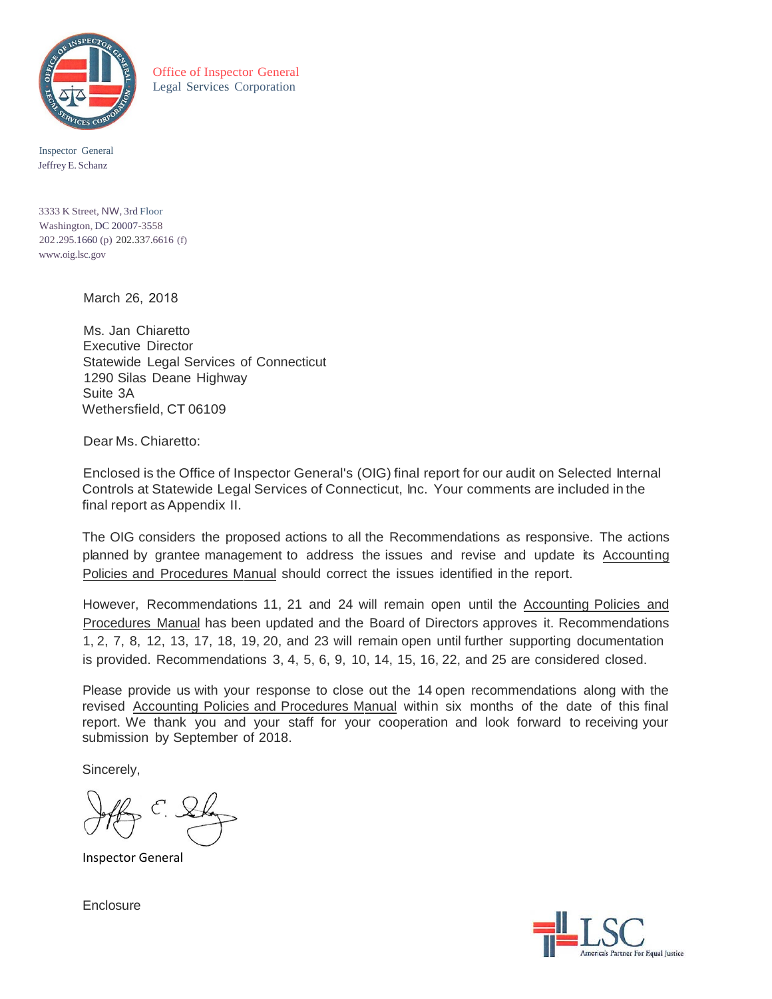

Office of Inspector General Legal Services Corporation

Inspector General Jeffrey E. Schanz

3333 K Street, NW, 3rd Floor Washington, DC 20007-3558 202 .295.1660 (p) 202.337.6616 (f) [www.oig.lsc.gov](http://www.oig.lsc.gov/)

March 26, 2018

Ms. Jan Chiaretto Executive Director Statewide Legal Services of Connecticut 1290 Silas Deane Highway Suite 3A Wethersfield, CT 06109

Dear Ms. Chiaretto:

Enclosed is the Office of Inspector General's (OIG) final report for our audit on Selected Internal Controls at Statewide Legal Services of Connecticut, Inc. Your comments are included in the final report as Appendix II.

The OIG considers the proposed actions to all the Recommendations as responsive. The actions planned by grantee management to address the issues and revise and update its Accounting Policies and Procedures Manual should correct the issues identified in the report.

However, Recommendations 11, 21 and 24 will remain open until the Accounting Policies and Procedures Manual has been updated and the Board of Directors approves it. Recommendations 1, 2, 7, 8, 12, 13, 17, 18, 19, 20, and 23 will remain open until further supporting documentation is provided. Recommendations 3, 4, 5, 6, 9, 10, 14, 15, 16, 22, and 25 are considered closed.

Please provide us with your response to close out the 14 open recommendations along with the revised Accounting Policies and Procedures Manual within six months of the date of this final report. We thank you and your staff for your cooperation and look forward to receiving your submission by September of 2018.

Sincerely,

Inspector General

**Enclosure** 

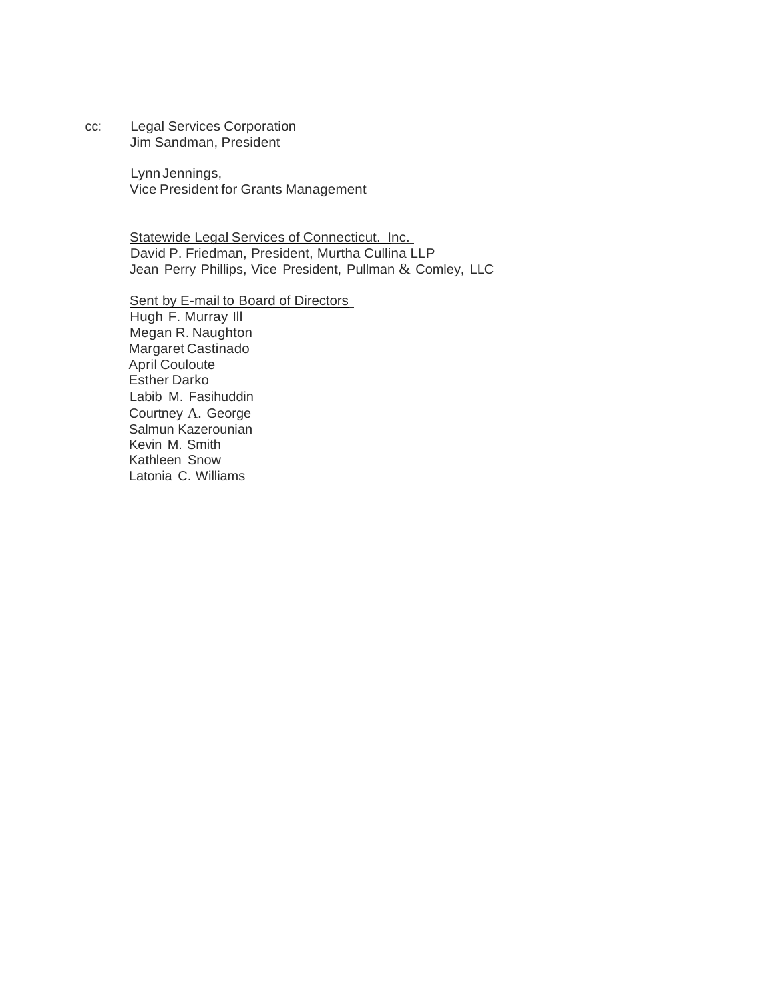cc: Legal Services Corporation Jim Sandman, President

> LynnJennings, Vice President for Grants Management

Statewide Legal Services of Connecticut. Inc. David P. Friedman, President, Murtha Cullina LLP Jean Perry Phillips, Vice President, Pullman & Comley, LLC

Sent by E-mail to Board of Directors Hugh F. Murray Ill Megan R. Naughton Margaret Castinado April Couloute Esther Darko Labib M. Fasihuddin Courtney A. George Salmun Kazerounian Kevin M. Smith Kathleen Snow Latonia C. Williams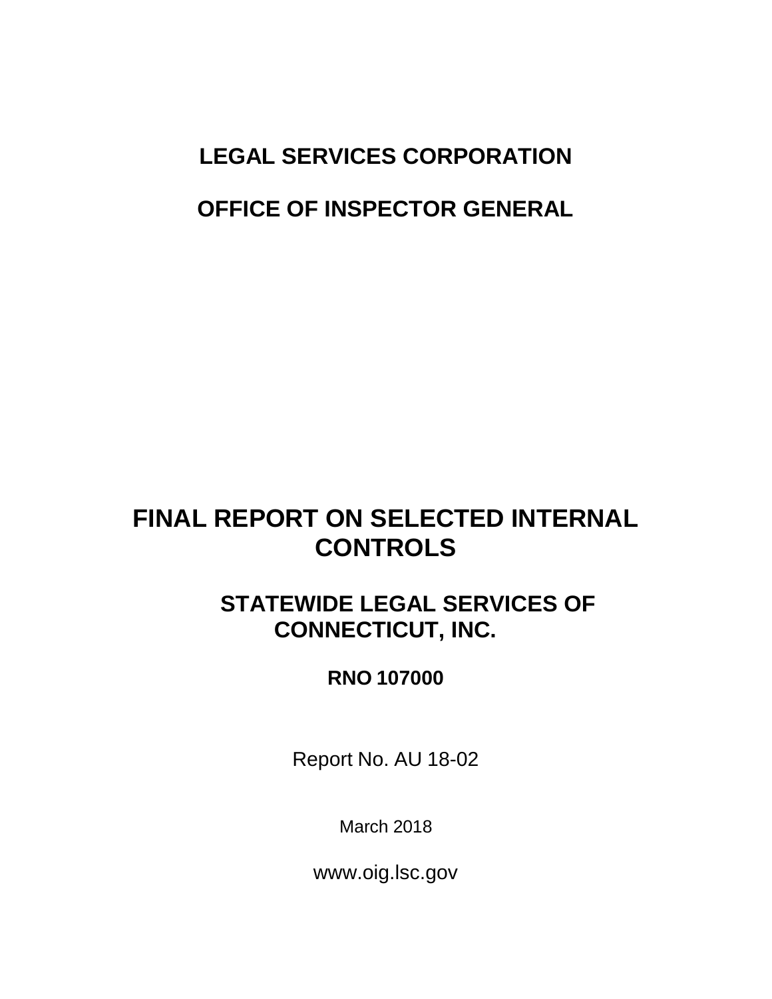# **LEGAL SERVICES CORPORATION**

## **OFFICE OF INSPECTOR GENERAL**

# **FINAL REPORT ON SELECTED INTERNAL CONTROLS**

# **STATEWIDE LEGAL SERVICES OF CONNECTICUT, INC.**

## **RNO 107000**

Report No. AU 18-02

March 2018

[www.oig.lsc.gov](http://www.oig.lsc.gov/)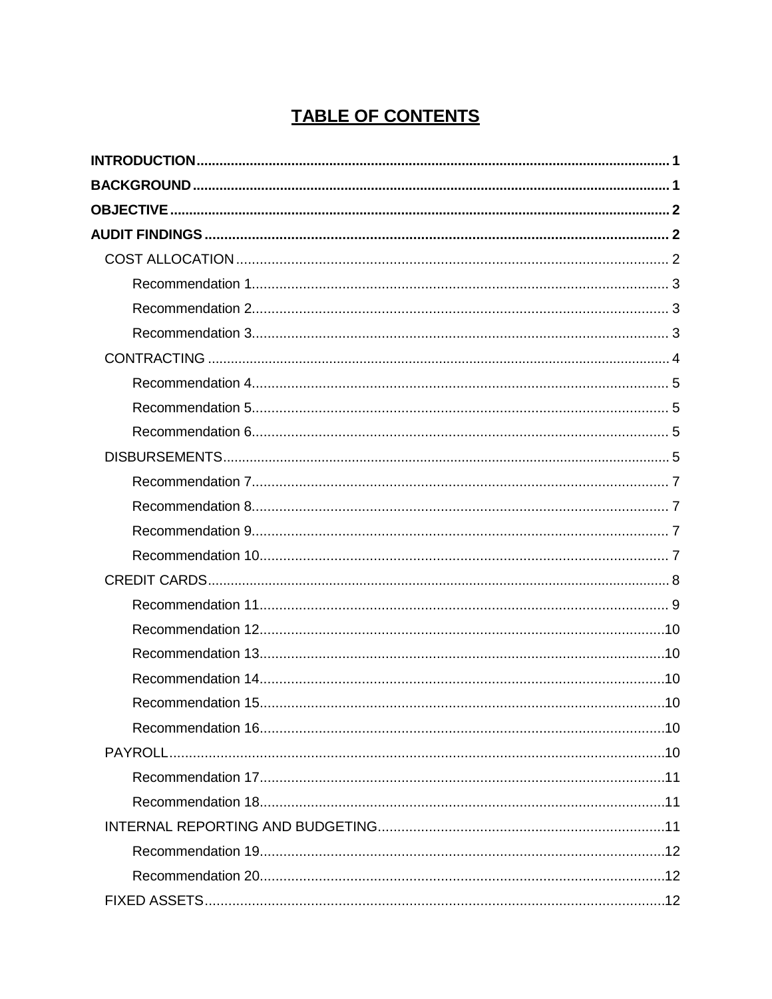## **TABLE OF CONTENTS**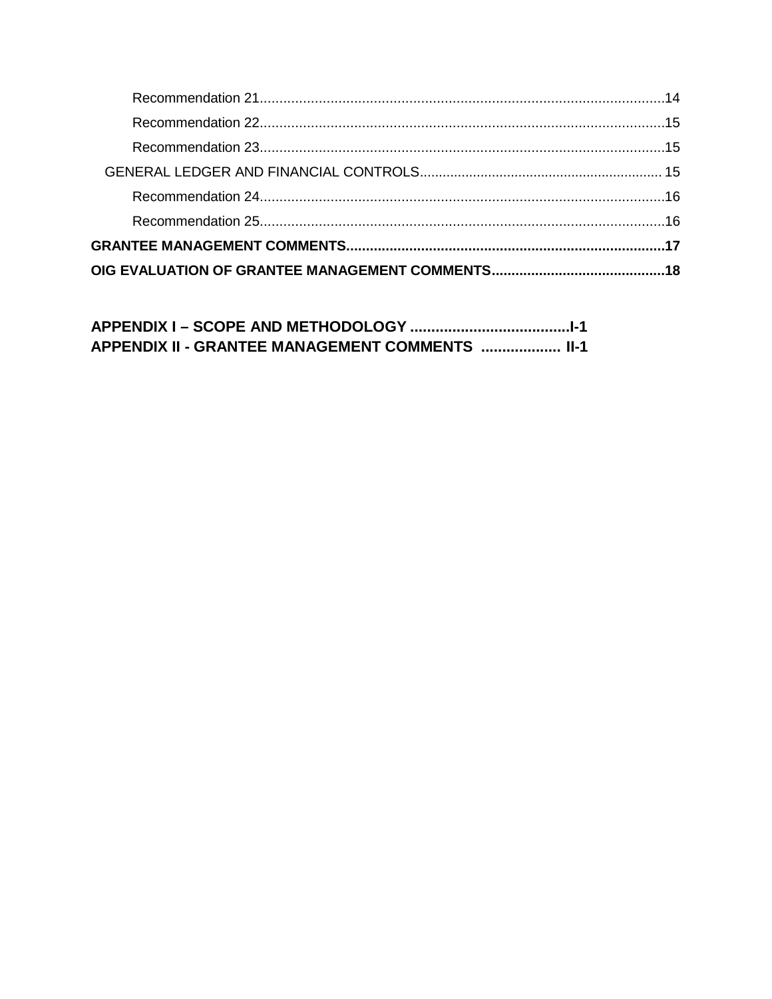APPENDIX II - GRANTEE MANAGEMENT COMMENTS .................... II-1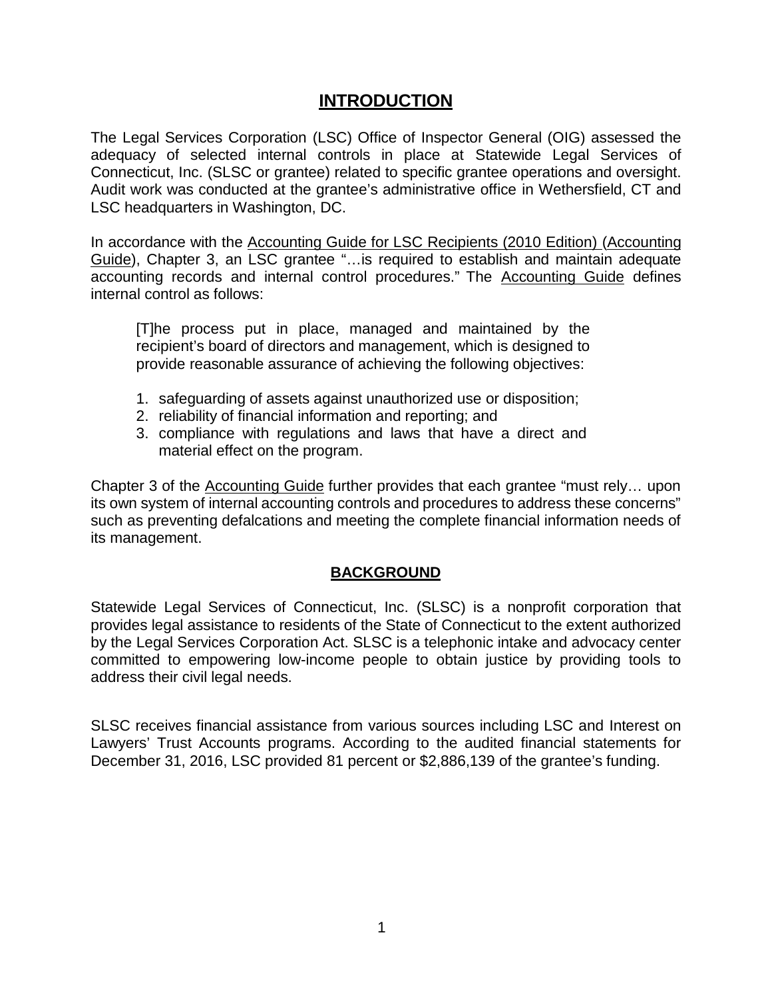## **INTRODUCTION**

<span id="page-5-0"></span>The Legal Services Corporation (LSC) Office of Inspector General (OIG) assessed the adequacy of selected internal controls in place at Statewide Legal Services of Connecticut, Inc. (SLSC or grantee) related to specific grantee operations and oversight. Audit work was conducted at the grantee's administrative office in Wethersfield, CT and LSC headquarters in Washington, DC.

In accordance with the Accounting Guide for LSC Recipients (2010 Edition) (Accounting Guide), Chapter 3, an LSC grantee "…is required to establish and maintain adequate accounting records and internal control procedures." The **Accounting Guide** defines internal control as follows:

[T]he process put in place, managed and maintained by the recipient's board of directors and management, which is designed to provide reasonable assurance of achieving the following objectives:

- 1. safeguarding of assets against unauthorized use or disposition;
- 2. reliability of financial information and reporting; and
- 3. compliance with regulations and laws that have a direct and material effect on the program.

Chapter 3 of the Accounting Guide further provides that each grantee "must rely… upon its own system of internal accounting controls and procedures to address these concerns" such as preventing defalcations and meeting the complete financial information needs of its management.

## **BACKGROUND**

<span id="page-5-1"></span>Statewide Legal Services of Connecticut, Inc. (SLSC) is a nonprofit corporation that provides legal assistance to residents of the State of Connecticut to the extent authorized by the Legal Services Corporation Act. SLSC is a telephonic intake and advocacy center committed to empowering low-income people to obtain justice by providing tools to address their civil legal needs.

SLSC receives financial assistance from various sources including LSC and Interest on Lawyers' Trust Accounts programs. According to the audited financial statements for December 31, 2016, LSC provided 81 percent or \$2,886,139 of the grantee's funding.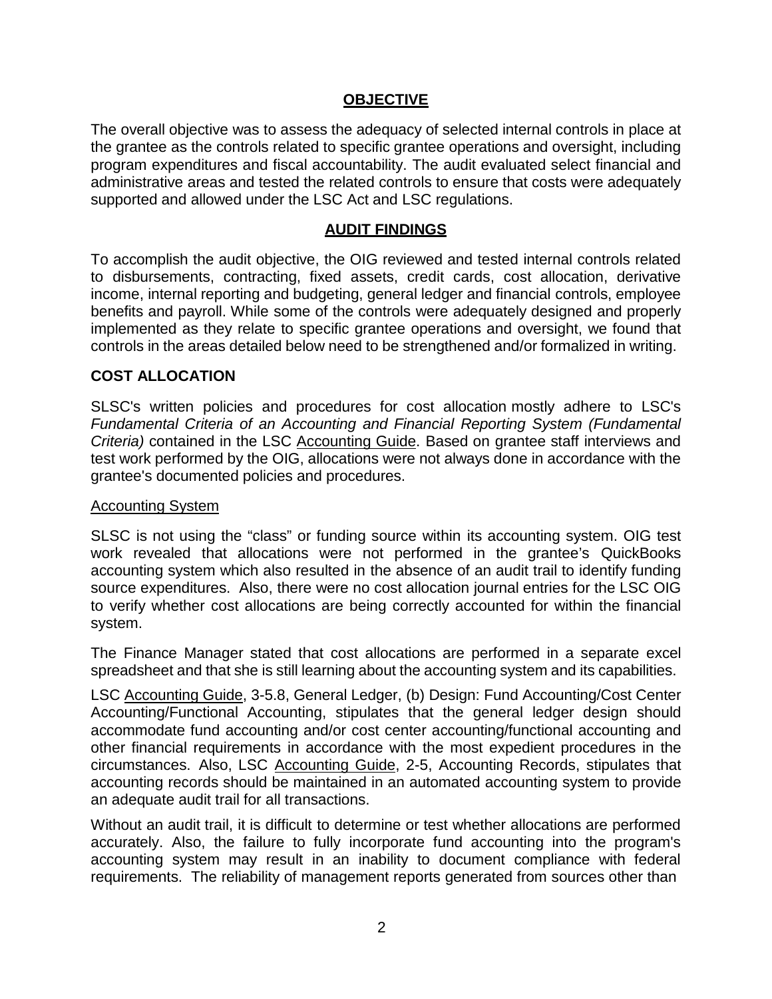## **OBJECTIVE**

<span id="page-6-0"></span>The overall objective was to assess the adequacy of selected internal controls in place at the grantee as the controls related to specific grantee operations and oversight, including program expenditures and fiscal accountability. The audit evaluated select financial and administrative areas and tested the related controls to ensure that costs were adequately supported and allowed under the LSC Act and LSC regulations.

## **AUDIT FINDINGS**

<span id="page-6-1"></span>To accomplish the audit objective, the OIG reviewed and tested internal controls related to disbursements, contracting, fixed assets, credit cards, cost allocation, derivative income, internal reporting and budgeting, general ledger and financial controls, employee benefits and payroll. While some of the controls were adequately designed and properly implemented as they relate to specific grantee operations and oversight, we found that controls in the areas detailed below need to be strengthened and/or formalized in writing.

## <span id="page-6-2"></span>**COST ALLOCATION**

SLSC's written policies and procedures for cost allocation mostly adhere to LSC's *Fundamental Criteria of an Accounting and Financial Reporting System (Fundamental Criteria)* contained in the LSC Accounting Guide. Based on grantee staff interviews and test work performed by the OIG, allocations were not always done in accordance with the grantee's documented policies and procedures.

### Accounting System

SLSC is not using the "class" or funding source within its accounting system. OIG test work revealed that allocations were not performed in the grantee's QuickBooks accounting system which also resulted in the absence of an audit trail to identify funding source expenditures. Also, there were no cost allocation journal entries for the LSC OIG to verify whether cost allocations are being correctly accounted for within the financial system.

The Finance Manager stated that cost allocations are performed in a separate excel spreadsheet and that she is still learning about the accounting system and its capabilities.

LSC Accounting Guide, 3-5.8, General Ledger, (b) Design: Fund Accounting/Cost Center Accounting/Functional Accounting, stipulates that the general ledger design should accommodate fund accounting and/or cost center accounting/functional accounting and other financial requirements in accordance with the most expedient procedures in the circumstances. Also, LSC Accounting Guide, 2-5, Accounting Records, stipulates that accounting records should be maintained in an automated accounting system to provide an adequate audit trail for all transactions.

Without an audit trail, it is difficult to determine or test whether allocations are performed accurately. Also, the failure to fully incorporate fund accounting into the program's accounting system may result in an inability to document compliance with federal requirements. The reliability of management reports generated from sources other than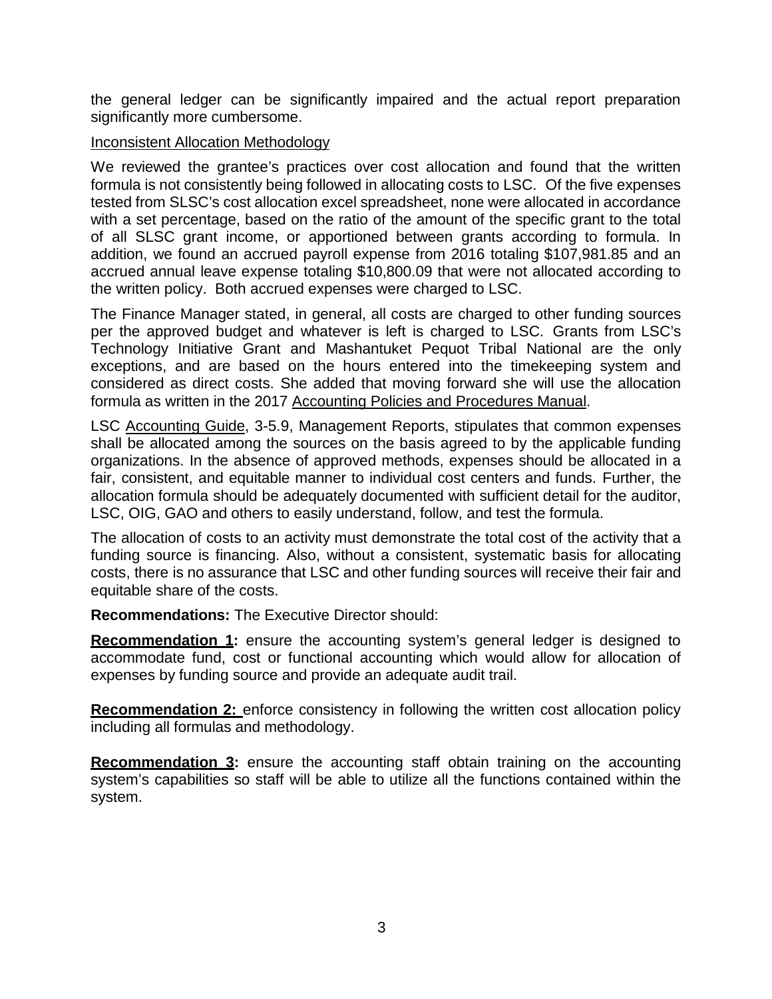<span id="page-7-3"></span>the general ledger can be significantly impaired and the actual report preparation significantly more cumbersome.

#### Inconsistent Allocation Methodology

We reviewed the grantee's practices over cost allocation and found that the written formula is not consistently being followed in allocating costs to LSC. Of the five expenses tested from SLSC's cost allocation excel spreadsheet, none were allocated in accordance with a set percentage, based on the ratio of the amount of the specific grant to the total of all SLSC grant income, or apportioned between grants according to formula. In addition, we found an accrued payroll expense from 2016 totaling \$107,981.85 and an accrued annual leave expense totaling \$10,800.09 that were not allocated according to the written policy. Both accrued expenses were charged to LSC.

The Finance Manager stated, in general, all costs are charged to other funding sources per the approved budget and whatever is left is charged to LSC. Grants from LSC's Technology Initiative Grant and Mashantuket Pequot Tribal National are the only exceptions, and are based on the hours entered into the timekeeping system and considered as direct costs. She added that moving forward she will use the allocation formula as written in the 2017 Accounting Policies and Procedures Manual.

LSC Accounting Guide, 3-5.9, Management Reports, stipulates that common expenses shall be allocated among the sources on the basis agreed to by the applicable funding organizations. In the absence of approved methods, expenses should be allocated in a fair, consistent, and equitable manner to individual cost centers and funds. Further, the allocation formula should be adequately documented with sufficient detail for the auditor, LSC, OIG, GAO and others to easily understand, follow, and test the formula.

The allocation of costs to an activity must demonstrate the total cost of the activity that a funding source is financing. Also, without a consistent, systematic basis for allocating costs, there is no assurance that LSC and other funding sources will receive their fair and equitable share of the costs.

**Recommendations:** The Executive Director should:

<span id="page-7-0"></span>**Recommendation 1:** ensure the accounting system's general ledger is designed to accommodate fund, cost or functional accounting which would allow for allocation of expenses by funding source and provide an adequate audit trail.

<span id="page-7-1"></span>**Recommendation 2:** enforce consistency in following the written cost allocation policy including all formulas and methodology.

<span id="page-7-2"></span>**Recommendation 3:** ensure the accounting staff obtain training on the accounting system's capabilities so staff will be able to utilize all the functions contained within the system.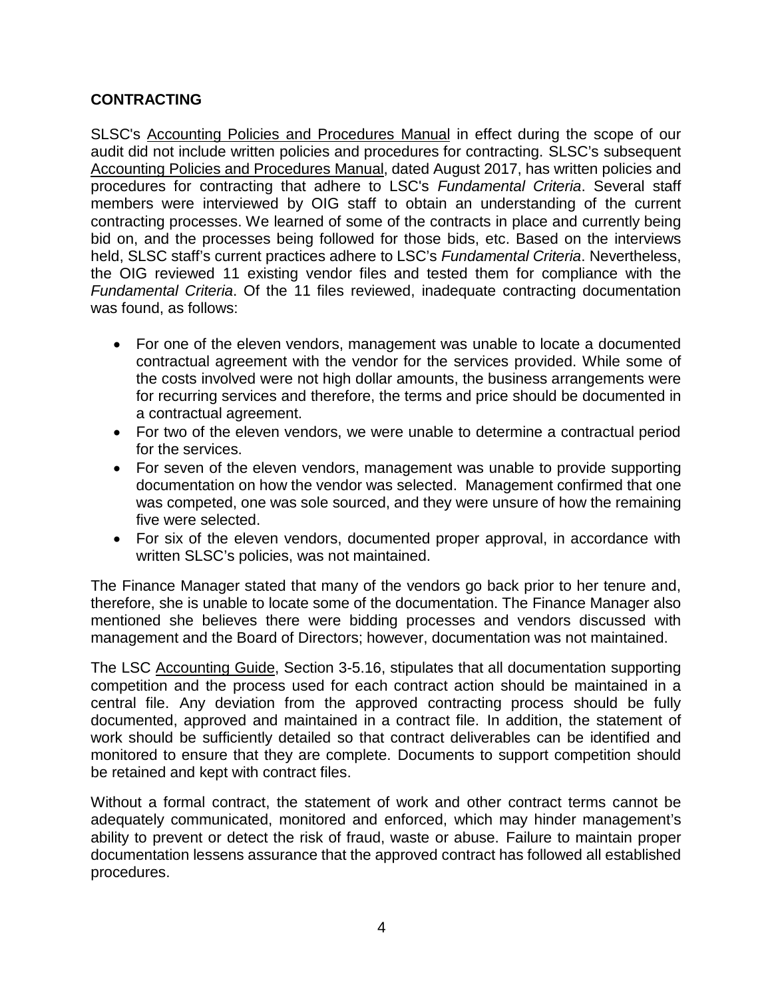## **CONTRACTING**

SLSC's Accounting Policies and Procedures Manual in effect during the scope of our audit did not include written policies and procedures for contracting. SLSC's subsequent Accounting Policies and Procedures Manual, dated August 2017, has written policies and procedures for contracting that adhere to LSC's *Fundamental Criteria*. Several staff members were interviewed by OIG staff to obtain an understanding of the current contracting processes. We learned of some of the contracts in place and currently being bid on, and the processes being followed for those bids, etc. Based on the interviews held, SLSC staff's current practices adhere to LSC's *Fundamental Criteria*. Nevertheless, the OIG reviewed 11 existing vendor files and tested them for compliance with the *Fundamental Criteria*. Of the 11 files reviewed, inadequate contracting documentation was found, as follows:

- For one of the eleven vendors, management was unable to locate a documented contractual agreement with the vendor for the services provided. While some of the costs involved were not high dollar amounts, the business arrangements were for recurring services and therefore, the terms and price should be documented in a contractual agreement.
- For two of the eleven vendors, we were unable to determine a contractual period for the services.
- For seven of the eleven vendors, management was unable to provide supporting documentation on how the vendor was selected. Management confirmed that one was competed, one was sole sourced, and they were unsure of how the remaining five were selected.
- For six of the eleven vendors, documented proper approval, in accordance with written SLSC's policies, was not maintained.

The Finance Manager stated that many of the vendors go back prior to her tenure and, therefore, she is unable to locate some of the documentation. The Finance Manager also mentioned she believes there were bidding processes and vendors discussed with management and the Board of Directors; however, documentation was not maintained.

The LSC Accounting Guide, Section 3-5.16, stipulates that all documentation supporting competition and the process used for each contract action should be maintained in a central file. Any deviation from the approved contracting process should be fully documented, approved and maintained in a contract file. In addition, the statement of work should be sufficiently detailed so that contract deliverables can be identified and monitored to ensure that they are complete. Documents to support competition should be retained and kept with contract files.

Without a formal contract, the statement of work and other contract terms cannot be adequately communicated, monitored and enforced, which may hinder management's ability to prevent or detect the risk of fraud, waste or abuse. Failure to maintain proper documentation lessens assurance that the approved contract has followed all established procedures.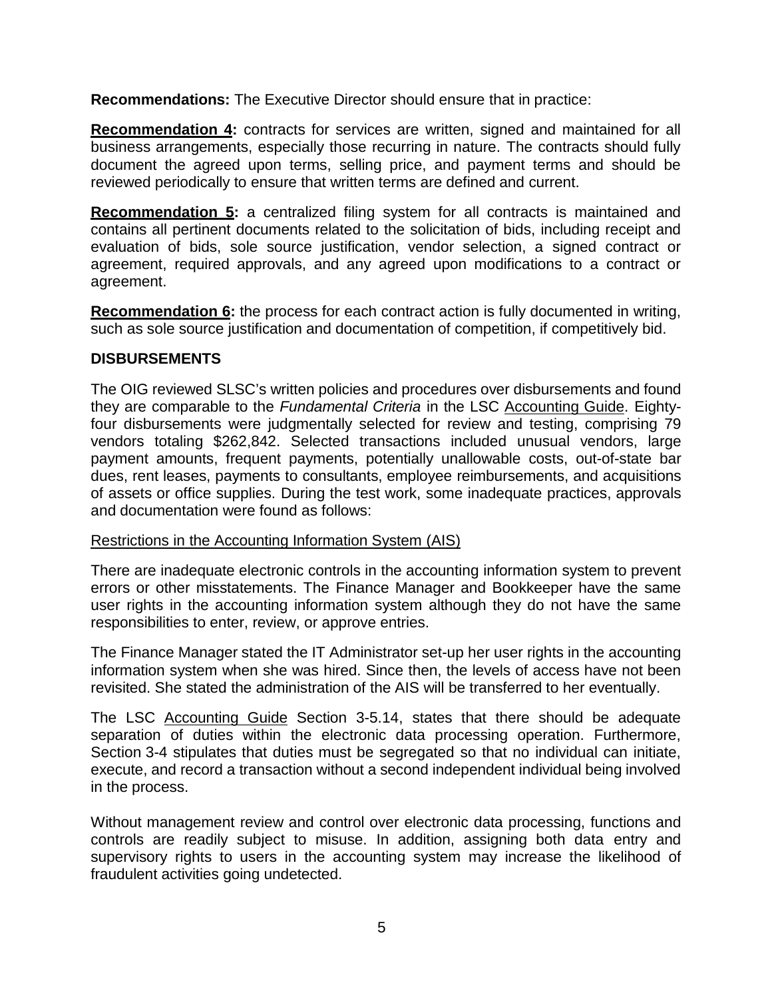**Recommendations:** The Executive Director should ensure that in practice:

<span id="page-9-0"></span>**Recommendation 4:** contracts for services are written, signed and maintained for all business arrangements, especially those recurring in nature. The contracts should fully document the agreed upon terms, selling price, and payment terms and should be reviewed periodically to ensure that written terms are defined and current.

<span id="page-9-1"></span>**Recommendation 5:** a centralized filing system for all contracts is maintained and contains all pertinent documents related to the solicitation of bids, including receipt and evaluation of bids, sole source justification, vendor selection, a signed contract or agreement, required approvals, and any agreed upon modifications to a contract or agreement.

<span id="page-9-2"></span>**Recommendation 6:** the process for each contract action is fully documented in writing, such as sole source justification and documentation of competition, if competitively bid.

## <span id="page-9-3"></span>**DISBURSEMENTS**

The OIG reviewed SLSC's written policies and procedures over disbursements and found they are comparable to the *Fundamental Criteria* in the LSC Accounting Guide. Eightyfour disbursements were judgmentally selected for review and testing, comprising 79 vendors totaling \$262,842. Selected transactions included unusual vendors, large payment amounts, frequent payments, potentially unallowable costs, out-of-state bar dues, rent leases, payments to consultants, employee reimbursements, and acquisitions of assets or office supplies. During the test work, some inadequate practices, approvals and documentation were found as follows:

## Restrictions in the Accounting Information System (AIS)

There are inadequate electronic controls in the accounting information system to prevent errors or other misstatements. The Finance Manager and Bookkeeper have the same user rights in the accounting information system although they do not have the same responsibilities to enter, review, or approve entries.

The Finance Manager stated the IT Administrator set-up her user rights in the accounting information system when she was hired. Since then, the levels of access have not been revisited. She stated the administration of the AIS will be transferred to her eventually.

The LSC Accounting Guide Section 3-5.14, states that there should be adequate separation of duties within the electronic data processing operation. Furthermore, Section 3-4 stipulates that duties must be segregated so that no individual can initiate, execute, and record a transaction without a second independent individual being involved in the process.

Without management review and control over electronic data processing, functions and controls are readily subject to misuse. In addition, assigning both data entry and supervisory rights to users in the accounting system may increase the likelihood of fraudulent activities going undetected.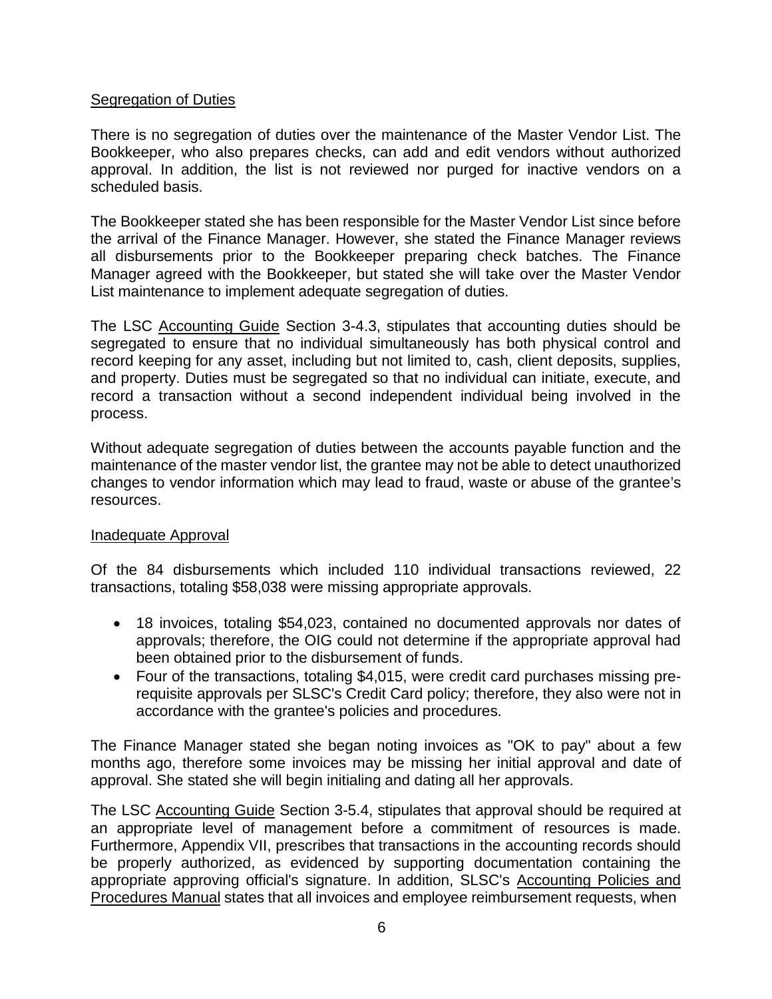## Segregation of Duties

There is no segregation of duties over the maintenance of the Master Vendor List. The Bookkeeper, who also prepares checks, can add and edit vendors without authorized approval. In addition, the list is not reviewed nor purged for inactive vendors on a scheduled basis.

The Bookkeeper stated she has been responsible for the Master Vendor List since before the arrival of the Finance Manager. However, she stated the Finance Manager reviews all disbursements prior to the Bookkeeper preparing check batches. The Finance Manager agreed with the Bookkeeper, but stated she will take over the Master Vendor List maintenance to implement adequate segregation of duties.

The LSC Accounting Guide Section 3-4.3, stipulates that accounting duties should be segregated to ensure that no individual simultaneously has both physical control and record keeping for any asset, including but not limited to, cash, client deposits, supplies, and property. Duties must be segregated so that no individual can initiate, execute, and record a transaction without a second independent individual being involved in the process.

Without adequate segregation of duties between the accounts payable function and the maintenance of the master vendor list, the grantee may not be able to detect unauthorized changes to vendor information which may lead to fraud, waste or abuse of the grantee's resources.

## Inadequate Approval

Of the 84 disbursements which included 110 individual transactions reviewed, 22 transactions, totaling \$58,038 were missing appropriate approvals.

- 18 invoices, totaling \$54,023, contained no documented approvals nor dates of approvals; therefore, the OIG could not determine if the appropriate approval had been obtained prior to the disbursement of funds.
- Four of the transactions, totaling \$4,015, were credit card purchases missing prerequisite approvals per SLSC's Credit Card policy; therefore, they also were not in accordance with the grantee's policies and procedures.

The Finance Manager stated she began noting invoices as "OK to pay" about a few months ago, therefore some invoices may be missing her initial approval and date of approval. She stated she will begin initialing and dating all her approvals.

The LSC Accounting Guide Section 3-5.4, stipulates that approval should be required at an appropriate level of management before a commitment of resources is made. Furthermore, Appendix VII, prescribes that transactions in the accounting records should be properly authorized, as evidenced by supporting documentation containing the appropriate approving official's signature. In addition, SLSC's Accounting Policies and Procedures Manual states that all invoices and employee reimbursement requests, when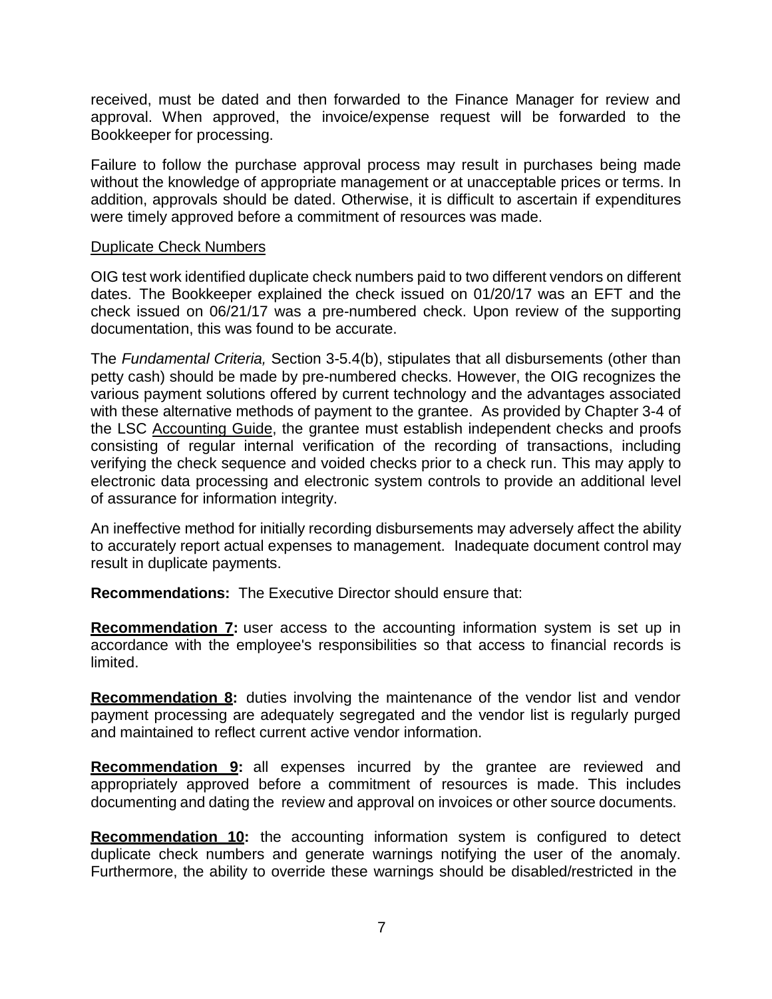received, must be dated and then forwarded to the Finance Manager for review and approval. When approved, the invoice/expense request will be forwarded to the Bookkeeper for processing.

Failure to follow the purchase approval process may result in purchases being made without the knowledge of appropriate management or at unacceptable prices or terms. In addition, approvals should be dated. Otherwise, it is difficult to ascertain if expenditures were timely approved before a commitment of resources was made.

#### Duplicate Check Numbers

OIG test work identified duplicate check numbers paid to two different vendors on different dates. The Bookkeeper explained the check issued on 01/20/17 was an EFT and the check issued on 06/21/17 was a pre-numbered check. Upon review of the supporting documentation, this was found to be accurate.

The *Fundamental Criteria,* Section 3-5.4(b), stipulates that all disbursements (other than petty cash) should be made by pre-numbered checks. However, the OIG recognizes the various payment solutions offered by current technology and the advantages associated with these alternative methods of payment to the grantee. As provided by Chapter 3-4 of the LSC Accounting Guide, the grantee must establish independent checks and proofs consisting of regular internal verification of the recording of transactions, including verifying the check sequence and voided checks prior to a check run. This may apply to electronic data processing and electronic system controls to provide an additional level of assurance for information integrity.

An ineffective method for initially recording disbursements may adversely affect the ability to accurately report actual expenses to management. Inadequate document control may result in duplicate payments.

**Recommendations:** The Executive Director should ensure that:

<span id="page-11-0"></span>**Recommendation 7:** user access to the accounting information system is set up in accordance with the employee's responsibilities so that access to financial records is limited.

<span id="page-11-1"></span>**Recommendation 8:** duties involving the maintenance of the vendor list and vendor payment processing are adequately segregated and the vendor list is regularly purged and maintained to reflect current active vendor information.

<span id="page-11-2"></span>**Recommendation 9:** all expenses incurred by the grantee are reviewed and appropriately approved before a commitment of resources is made. This includes documenting and dating the review and approval on invoices or other source documents.

<span id="page-11-3"></span>**Recommendation 10:** the accounting information system is configured to detect duplicate check numbers and generate warnings notifying the user of the anomaly. Furthermore, the ability to override these warnings should be disabled/restricted in the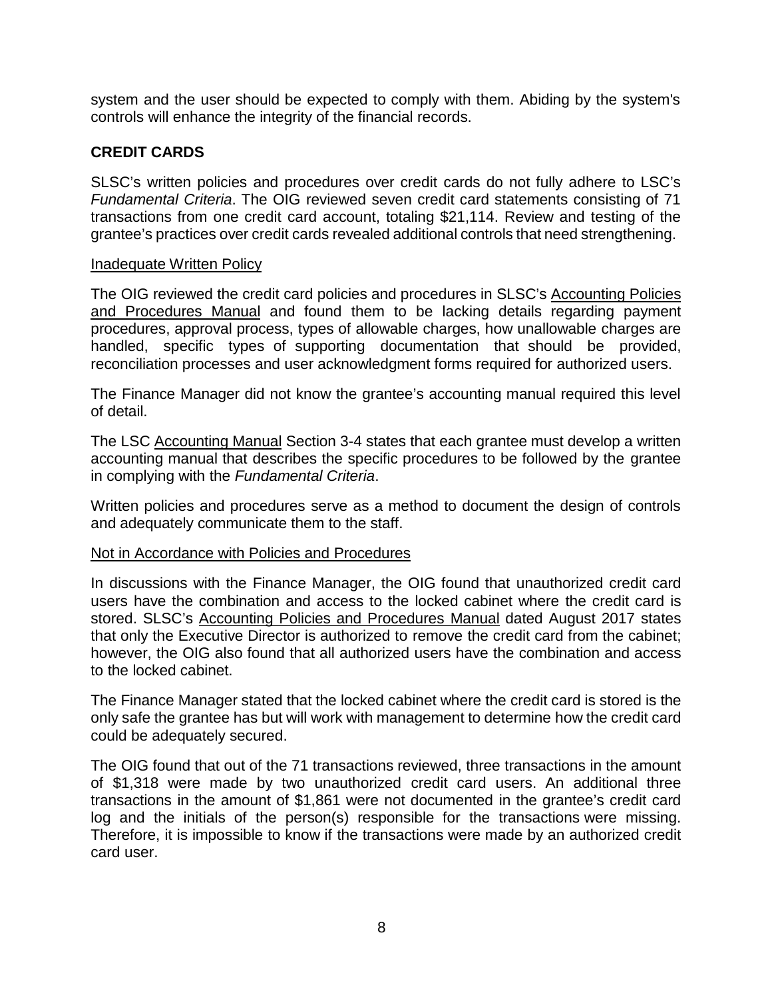system and the user should be expected to comply with them. Abiding by the system's controls will enhance the integrity of the financial records.

## <span id="page-12-0"></span>**CREDIT CARDS**

SLSC's written policies and procedures over credit cards do not fully adhere to LSC's *Fundamental Criteria*. The OIG reviewed seven credit card statements consisting of 71 transactions from one credit card account, totaling \$21,114. Review and testing of the grantee's practices over credit cards revealed additional controls that need strengthening.

#### **Inadequate Written Policy**

The OIG reviewed the credit card policies and procedures in SLSC's Accounting Policies and Procedures Manual and found them to be lacking details regarding payment procedures, approval process, types of allowable charges, how unallowable charges are handled, specific types of supporting documentation that should be provided, reconciliation processes and user acknowledgment forms required for authorized users.

The Finance Manager did not know the grantee's accounting manual required this level of detail.

The LSC Accounting Manual Section 3-4 states that each grantee must develop a written accounting manual that describes the specific procedures to be followed by the grantee in complying with the *Fundamental Criteria*.

Written policies and procedures serve as a method to document the design of controls and adequately communicate them to the staff.

#### Not in Accordance with Policies and Procedures

In discussions with the Finance Manager, the OIG found that unauthorized credit card users have the combination and access to the locked cabinet where the credit card is stored. SLSC's Accounting Policies and Procedures Manual dated August 2017 states that only the Executive Director is authorized to remove the credit card from the cabinet; however, the OIG also found that all authorized users have the combination and access to the locked cabinet.

The Finance Manager stated that the locked cabinet where the credit card is stored is the only safe the grantee has but will work with management to determine how the credit card could be adequately secured.

The OIG found that out of the 71 transactions reviewed, three transactions in the amount of \$1,318 were made by two unauthorized credit card users. An additional three transactions in the amount of \$1,861 were not documented in the grantee's credit card log and the initials of the person(s) responsible for the transactions were missing. Therefore, it is impossible to know if the transactions were made by an authorized credit card user.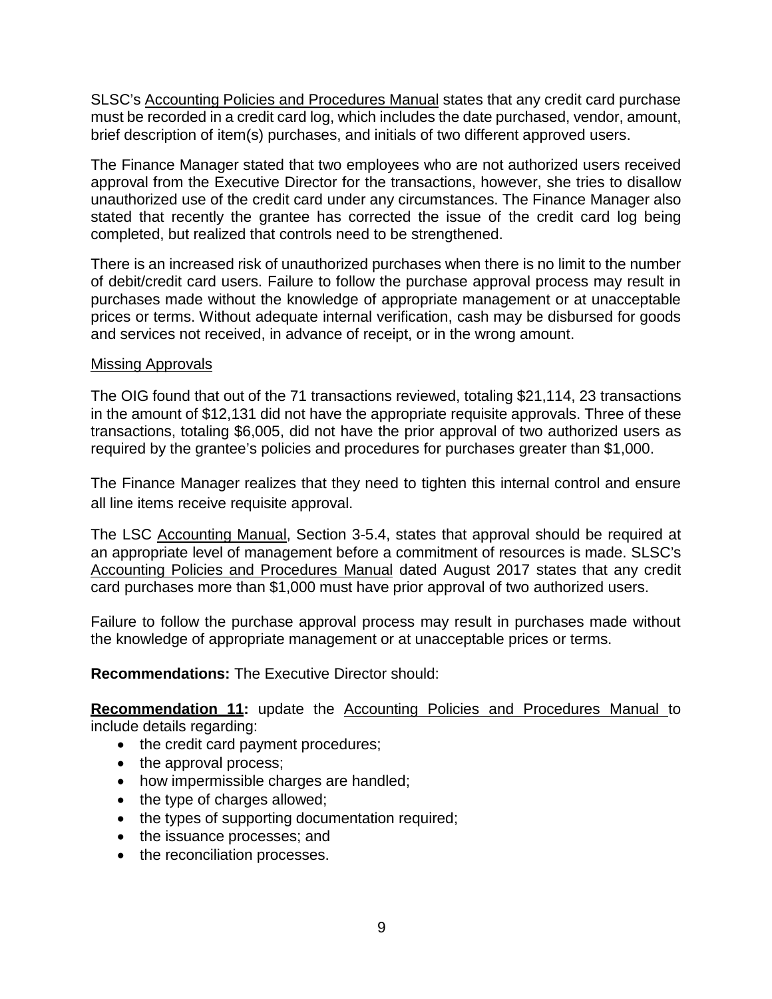SLSC's Accounting Policies and Procedures Manual states that any credit card purchase must be recorded in a credit card log, which includes the date purchased, vendor, amount, brief description of item(s) purchases, and initials of two different approved users.

The Finance Manager stated that two employees who are not authorized users received approval from the Executive Director for the transactions, however, she tries to disallow unauthorized use of the credit card under any circumstances. The Finance Manager also stated that recently the grantee has corrected the issue of the credit card log being completed, but realized that controls need to be strengthened.

There is an increased risk of unauthorized purchases when there is no limit to the number of debit/credit card users. Failure to follow the purchase approval process may result in purchases made without the knowledge of appropriate management or at unacceptable prices or terms. Without adequate internal verification, cash may be disbursed for goods and services not received, in advance of receipt, or in the wrong amount.

## Missing Approvals

The OIG found that out of the 71 transactions reviewed, totaling \$21,114, 23 transactions in the amount of \$12,131 did not have the appropriate requisite approvals. Three of these transactions, totaling \$6,005, did not have the prior approval of two authorized users as required by the grantee's policies and procedures for purchases greater than \$1,000.

The Finance Manager realizes that they need to tighten this internal control and ensure all line items receive requisite approval.

The LSC Accounting Manual, Section 3-5.4, states that approval should be required at an appropriate level of management before a commitment of resources is made. SLSC's Accounting Policies and Procedures Manual dated August 2017 states that any credit card purchases more than \$1,000 must have prior approval of two authorized users.

Failure to follow the purchase approval process may result in purchases made without the knowledge of appropriate management or at unacceptable prices or terms.

**Recommendations:** The Executive Director should:

<span id="page-13-0"></span>**Recommendation 11:** update the Accounting Policies and Procedures Manual to include details regarding:

- the credit card payment procedures;
- the approval process;
- how impermissible charges are handled;
- the type of charges allowed;
- the types of supporting documentation required;
- the issuance processes; and
- the reconciliation processes.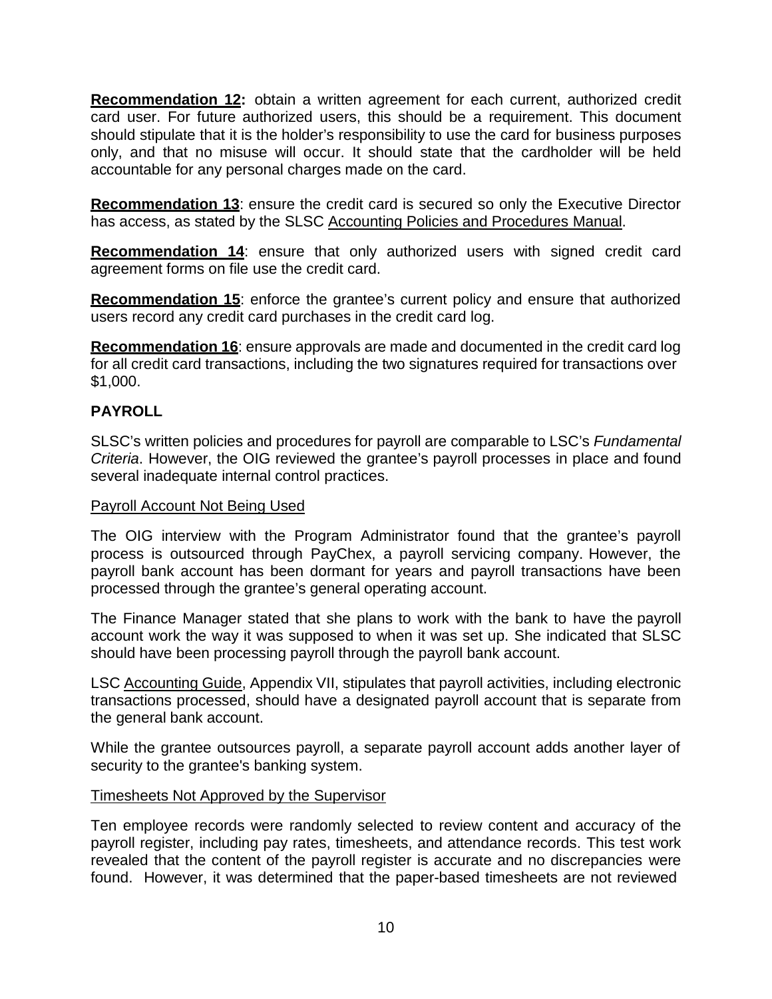<span id="page-14-0"></span>**Recommendation 12:** obtain a written agreement for each current, authorized credit card user. For future authorized users, this should be a requirement. This document should stipulate that it is the holder's responsibility to use the card for business purposes only, and that no misuse will occur. It should state that the cardholder will be held accountable for any personal charges made on the card.

<span id="page-14-1"></span>**Recommendation 13**: ensure the credit card is secured so only the Executive Director has access, as stated by the SLSC Accounting Policies and Procedures Manual.

<span id="page-14-2"></span>**Recommendation 14**: ensure that only authorized users with signed credit card agreement forms on file use the credit card.

<span id="page-14-3"></span>**Recommendation 15**: enforce the grantee's current policy and ensure that authorized users record any credit card purchases in the credit card log.

<span id="page-14-4"></span>**Recommendation 16**: ensure approvals are made and documented in the credit card log for all credit card transactions, including the two signatures required for transactions over \$1,000.

## <span id="page-14-5"></span>**PAYROLL**

SLSC's written policies and procedures for payroll are comparable to LSC's *Fundamental Criteria*. However, the OIG reviewed the grantee's payroll processes in place and found several inadequate internal control practices.

## Payroll Account Not Being Used

The OIG interview with the Program Administrator found that the grantee's payroll process is outsourced through PayChex, a payroll servicing company. However, the payroll bank account has been dormant for years and payroll transactions have been processed through the grantee's general operating account.

The Finance Manager stated that she plans to work with the bank to have the payroll account work the way it was supposed to when it was set up. She indicated that SLSC should have been processing payroll through the payroll bank account.

LSC Accounting Guide, Appendix VII, stipulates that payroll activities, including electronic transactions processed, should have a designated payroll account that is separate from the general bank account.

While the grantee outsources payroll, a separate payroll account adds another layer of security to the grantee's banking system.

## Timesheets Not Approved by the Supervisor

Ten employee records were randomly selected to review content and accuracy of the payroll register, including pay rates, timesheets, and attendance records. This test work revealed that the content of the payroll register is accurate and no discrepancies were found. However, it was determined that the paper-based timesheets are not reviewed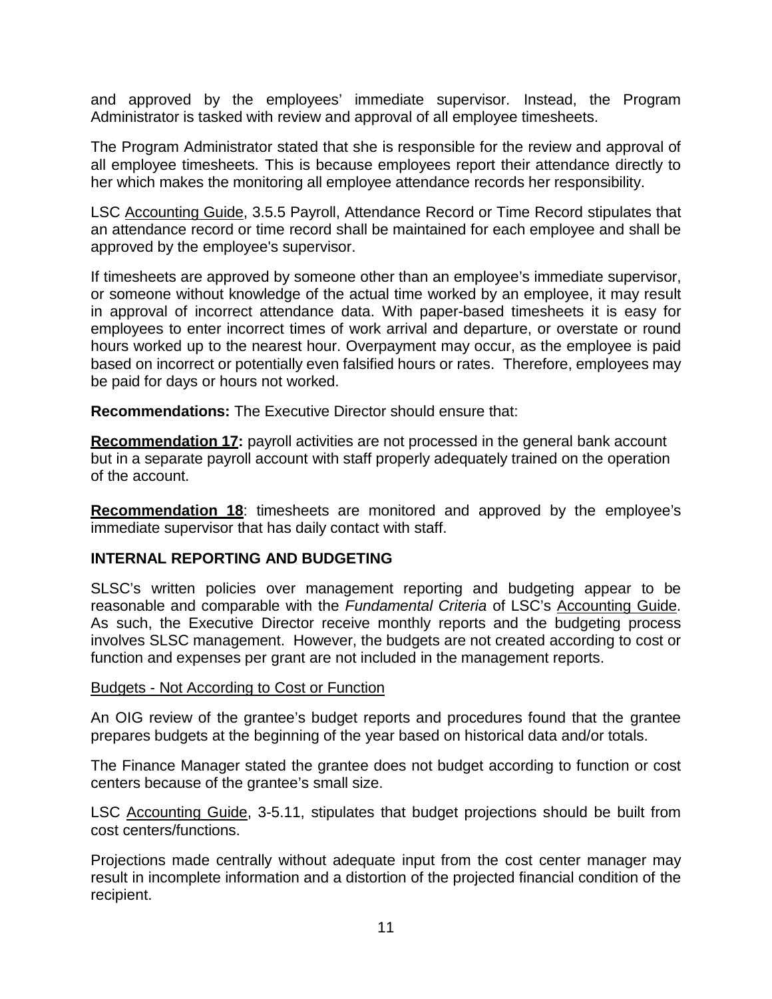and approved by the employees' immediate supervisor. Instead, the Program Administrator is tasked with review and approval of all employee timesheets.

The Program Administrator stated that she is responsible for the review and approval of all employee timesheets. This is because employees report their attendance directly to her which makes the monitoring all employee attendance records her responsibility.

LSC Accounting Guide, 3.5.5 Payroll, Attendance Record or Time Record stipulates that an attendance record or time record shall be maintained for each employee and shall be approved by the employee's supervisor.

If timesheets are approved by someone other than an employee's immediate supervisor, or someone without knowledge of the actual time worked by an employee, it may result in approval of incorrect attendance data. With paper-based timesheets it is easy for employees to enter incorrect times of work arrival and departure, or overstate or round hours worked up to the nearest hour. Overpayment may occur, as the employee is paid based on incorrect or potentially even falsified hours or rates. Therefore, employees may be paid for days or hours not worked.

**Recommendations:** The Executive Director should ensure that:

<span id="page-15-0"></span>**Recommendation 17:** payroll activities are not processed in the general bank account but in a separate payroll account with staff properly adequately trained on the operation of the account.

<span id="page-15-1"></span>**Recommendation 18**: timesheets are monitored and approved by the employee's immediate supervisor that has daily contact with staff.

## <span id="page-15-2"></span>**INTERNAL REPORTING AND BUDGETING**

SLSC's written policies over management reporting and budgeting appear to be reasonable and comparable with the *Fundamental Criteria* of LSC's Accounting Guide. As such, the Executive Director receive monthly reports and the budgeting process involves SLSC management. However, the budgets are not created according to cost or function and expenses per grant are not included in the management reports.

#### Budgets - Not According to Cost or Function

An OIG review of the grantee's budget reports and procedures found that the grantee prepares budgets at the beginning of the year based on historical data and/or totals.

The Finance Manager stated the grantee does not budget according to function or cost centers because of the grantee's small size.

LSC Accounting Guide, 3-5.11, stipulates that budget projections should be built from cost centers/functions.

Projections made centrally without adequate input from the cost center manager may result in incomplete information and a distortion of the projected financial condition of the recipient.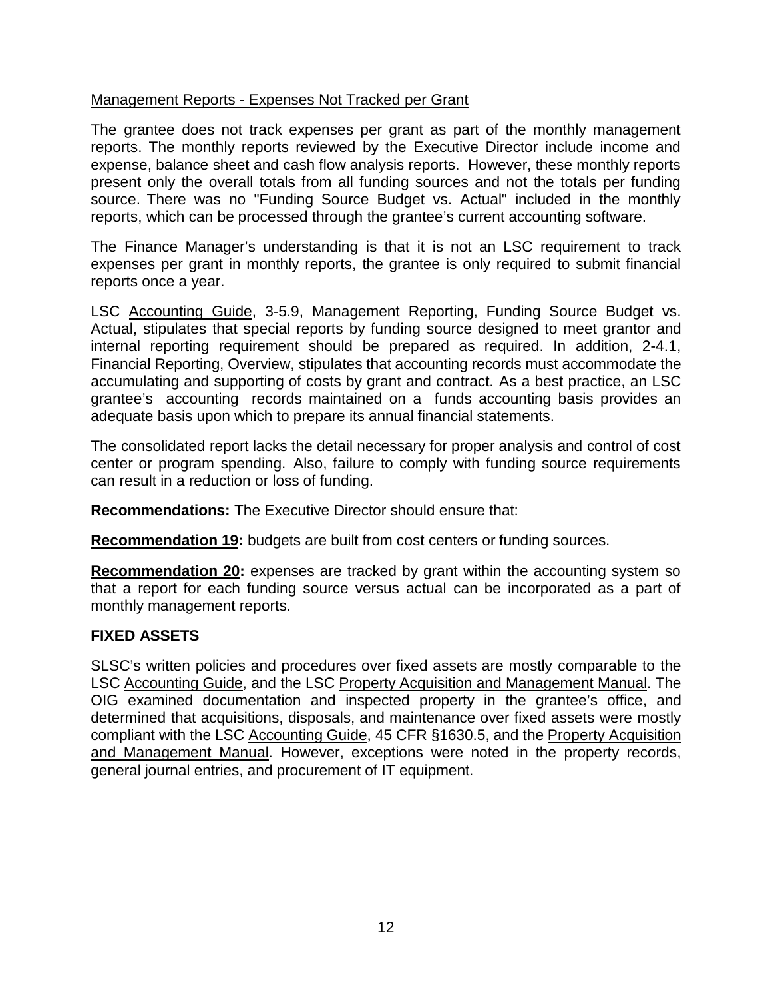## Management Reports - Expenses Not Tracked per Grant

The grantee does not track expenses per grant as part of the monthly management reports. The monthly reports reviewed by the Executive Director include income and expense, balance sheet and cash flow analysis reports. However, these monthly reports present only the overall totals from all funding sources and not the totals per funding source. There was no "Funding Source Budget vs. Actual" included in the monthly reports, which can be processed through the grantee's current accounting software.

The Finance Manager's understanding is that it is not an LSC requirement to track expenses per grant in monthly reports, the grantee is only required to submit financial reports once a year.

LSC Accounting Guide, 3-5.9, Management Reporting, Funding Source Budget vs. Actual, stipulates that special reports by funding source designed to meet grantor and internal reporting requirement should be prepared as required. In addition, 2-4.1, Financial Reporting, Overview, stipulates that accounting records must accommodate the accumulating and supporting of costs by grant and contract. As a best practice, an LSC grantee's accounting records maintained on a funds accounting basis provides an adequate basis upon which to prepare its annual financial statements.

The consolidated report lacks the detail necessary for proper analysis and control of cost center or program spending. Also, failure to comply with funding source requirements can result in a reduction or loss of funding.

**Recommendations:** The Executive Director should ensure that:

<span id="page-16-0"></span>**Recommendation 19:** budgets are built from cost centers or funding sources.

<span id="page-16-1"></span>**Recommendation 20:** expenses are tracked by grant within the accounting system so that a report for each funding source versus actual can be incorporated as a part of monthly management reports.

## <span id="page-16-2"></span>**FIXED ASSETS**

SLSC's written policies and procedures over fixed assets are mostly comparable to the LSC Accounting Guide, and the LSC Property Acquisition and Management Manual. The OIG examined documentation and inspected property in the grantee's office, and determined that acquisitions, disposals, and maintenance over fixed assets were mostly compliant with the LSC Accounting Guide, 45 CFR §1630.5, and the Property Acquisition and Management Manual. However, exceptions were noted in the property records, general journal entries, and procurement of IT equipment.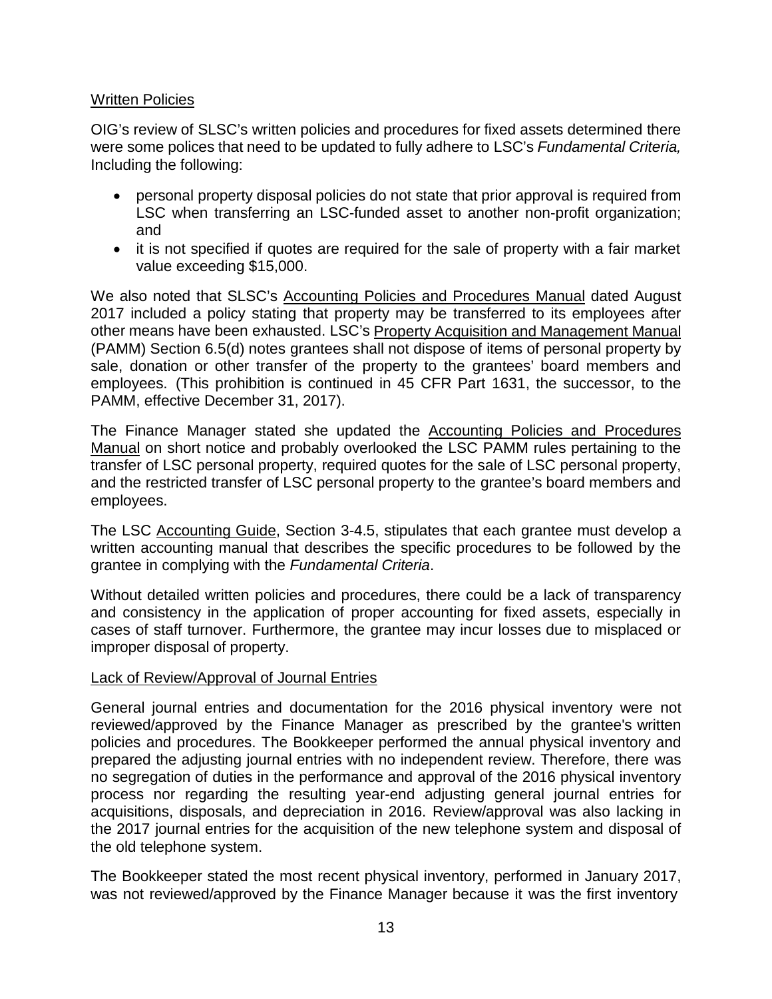## Written Policies

OIG's review of SLSC's written policies and procedures for fixed assets determined there were some polices that need to be updated to fully adhere to LSC's *Fundamental Criteria,* Including the following:

- personal property disposal policies do not state that prior approval is required from LSC when transferring an LSC-funded asset to another non-profit organization; and
- it is not specified if quotes are required for the sale of property with a fair market value exceeding \$15,000.

We also noted that SLSC's Accounting Policies and Procedures Manual dated August 2017 included a policy stating that property may be transferred to its employees after other means have been exhausted. LSC's Property Acquisition and Management Manual (PAMM) Section 6.5(d) notes grantees shall not dispose of items of personal property by sale, donation or other transfer of the property to the grantees' board members and employees. (This prohibition is continued in 45 CFR Part 1631, the successor, to the PAMM, effective December 31, 2017).

The Finance Manager stated she updated the Accounting Policies and Procedures Manual on short notice and probably overlooked the LSC PAMM rules pertaining to the transfer of LSC personal property, required quotes for the sale of LSC personal property, and the restricted transfer of LSC personal property to the grantee's board members and employees.

The LSC Accounting Guide, Section 3-4.5, stipulates that each grantee must develop a written accounting manual that describes the specific procedures to be followed by the grantee in complying with the *Fundamental Criteria*.

Without detailed written policies and procedures, there could be a lack of transparency and consistency in the application of proper accounting for fixed assets, especially in cases of staff turnover. Furthermore, the grantee may incur losses due to misplaced or improper disposal of property.

## Lack of Review/Approval of Journal Entries

General journal entries and documentation for the 2016 physical inventory were not reviewed/approved by the Finance Manager as prescribed by the grantee's written policies and procedures. The Bookkeeper performed the annual physical inventory and prepared the adjusting journal entries with no independent review. Therefore, there was no segregation of duties in the performance and approval of the 2016 physical inventory process nor regarding the resulting year-end adjusting general journal entries for acquisitions, disposals, and depreciation in 2016. Review/approval was also lacking in the 2017 journal entries for the acquisition of the new telephone system and disposal of the old telephone system.

The Bookkeeper stated the most recent physical inventory, performed in January 2017, was not reviewed/approved by the Finance Manager because it was the first inventory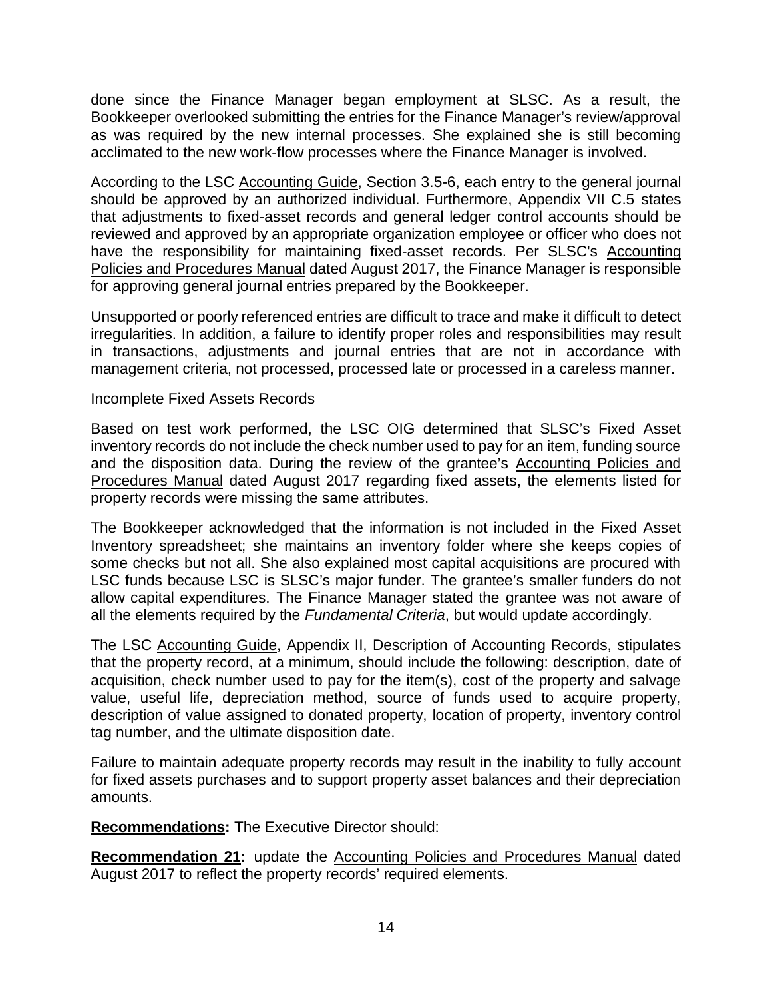done since the Finance Manager began employment at SLSC. As a result, the Bookkeeper overlooked submitting the entries for the Finance Manager's review/approval as was required by the new internal processes. She explained she is still becoming acclimated to the new work-flow processes where the Finance Manager is involved.

According to the LSC Accounting Guide, Section 3.5-6, each entry to the general journal should be approved by an authorized individual. Furthermore, Appendix VII C.5 states that adjustments to fixed-asset records and general ledger control accounts should be reviewed and approved by an appropriate organization employee or officer who does not have the responsibility for maintaining fixed-asset records. Per SLSC's Accounting Policies and Procedures Manual dated August 2017, the Finance Manager is responsible for approving general journal entries prepared by the Bookkeeper.

Unsupported or poorly referenced entries are difficult to trace and make it difficult to detect irregularities. In addition, a failure to identify proper roles and responsibilities may result in transactions, adjustments and journal entries that are not in accordance with management criteria, not processed, processed late or processed in a careless manner.

#### Incomplete Fixed Assets Records

Based on test work performed, the LSC OIG determined that SLSC's Fixed Asset inventory records do not include the check number used to pay for an item, funding source and the disposition data. During the review of the grantee's Accounting Policies and Procedures Manual dated August 2017 regarding fixed assets, the elements listed for property records were missing the same attributes.

The Bookkeeper acknowledged that the information is not included in the Fixed Asset Inventory spreadsheet; she maintains an inventory folder where she keeps copies of some checks but not all. She also explained most capital acquisitions are procured with LSC funds because LSC is SLSC's major funder. The grantee's smaller funders do not allow capital expenditures. The Finance Manager stated the grantee was not aware of all the elements required by the *Fundamental Criteria*, but would update accordingly.

The LSC Accounting Guide, Appendix II, Description of Accounting Records, stipulates that the property record, at a minimum, should include the following: description, date of acquisition, check number used to pay for the item(s), cost of the property and salvage value, useful life, depreciation method, source of funds used to acquire property, description of value assigned to donated property, location of property, inventory control tag number, and the ultimate disposition date.

Failure to maintain adequate property records may result in the inability to fully account for fixed assets purchases and to support property asset balances and their depreciation amounts.

**Recommendations:** The Executive Director should:

<span id="page-18-0"></span>**Recommendation 21:** update the Accounting Policies and Procedures Manual dated August 2017 to reflect the property records' required elements.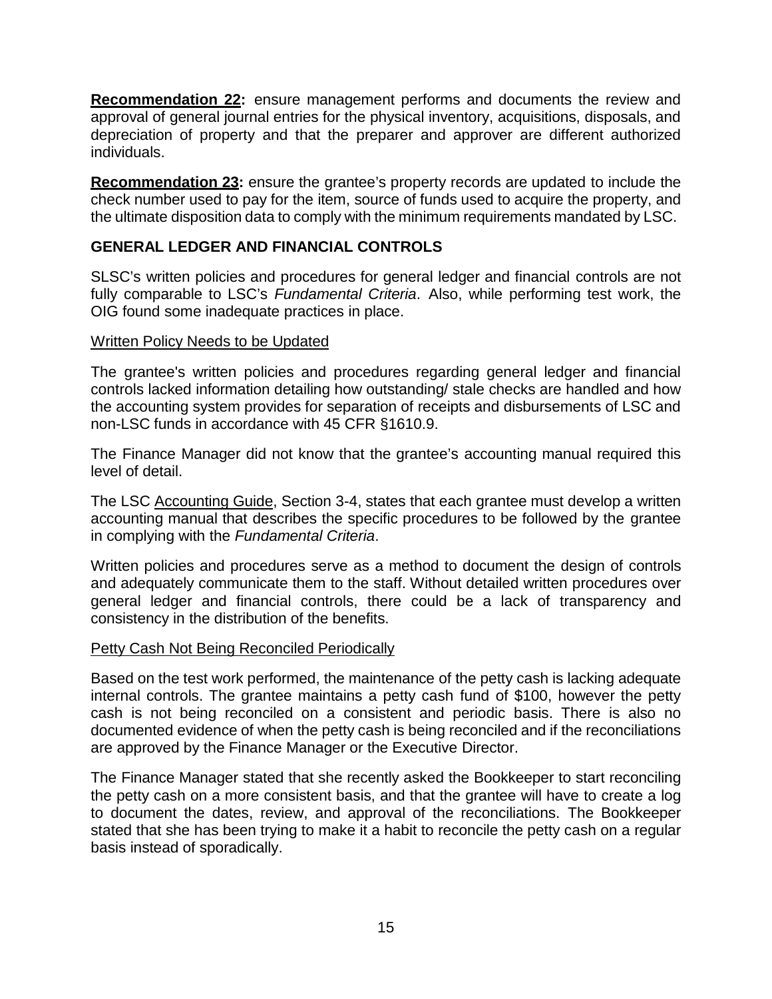<span id="page-19-0"></span>**Recommendation 22:** ensure management performs and documents the review and approval of general journal entries for the physical inventory, acquisitions, disposals, and depreciation of property and that the preparer and approver are different authorized individuals.

<span id="page-19-1"></span>**Recommendation 23:** ensure the grantee's property records are updated to include the check number used to pay for the item, source of funds used to acquire the property, and the ultimate disposition data to comply with the minimum requirements mandated by LSC.

## <span id="page-19-2"></span>**GENERAL LEDGER AND FINANCIAL CONTROLS**

SLSC's written policies and procedures for general ledger and financial controls are not fully comparable to LSC's *Fundamental Criteria*. Also, while performing test work, the OIG found some inadequate practices in place.

#### Written Policy Needs to be Updated

The grantee's written policies and procedures regarding general ledger and financial controls lacked information detailing how outstanding/ stale checks are handled and how the accounting system provides for separation of receipts and disbursements of LSC and non-LSC funds in accordance with 45 CFR §1610.9.

The Finance Manager did not know that the grantee's accounting manual required this level of detail.

The LSC Accounting Guide, Section 3-4, states that each grantee must develop a written accounting manual that describes the specific procedures to be followed by the grantee in complying with the *Fundamental Criteria*.

Written policies and procedures serve as a method to document the design of controls and adequately communicate them to the staff. Without detailed written procedures over general ledger and financial controls, there could be a lack of transparency and consistency in the distribution of the benefits.

#### Petty Cash Not Being Reconciled Periodically

Based on the test work performed, the maintenance of the petty cash is lacking adequate internal controls. The grantee maintains a petty cash fund of \$100, however the petty cash is not being reconciled on a consistent and periodic basis. There is also no documented evidence of when the petty cash is being reconciled and if the reconciliations are approved by the Finance Manager or the Executive Director.

The Finance Manager stated that she recently asked the Bookkeeper to start reconciling the petty cash on a more consistent basis, and that the grantee will have to create a log to document the dates, review, and approval of the reconciliations. The Bookkeeper stated that she has been trying to make it a habit to reconcile the petty cash on a regular basis instead of sporadically.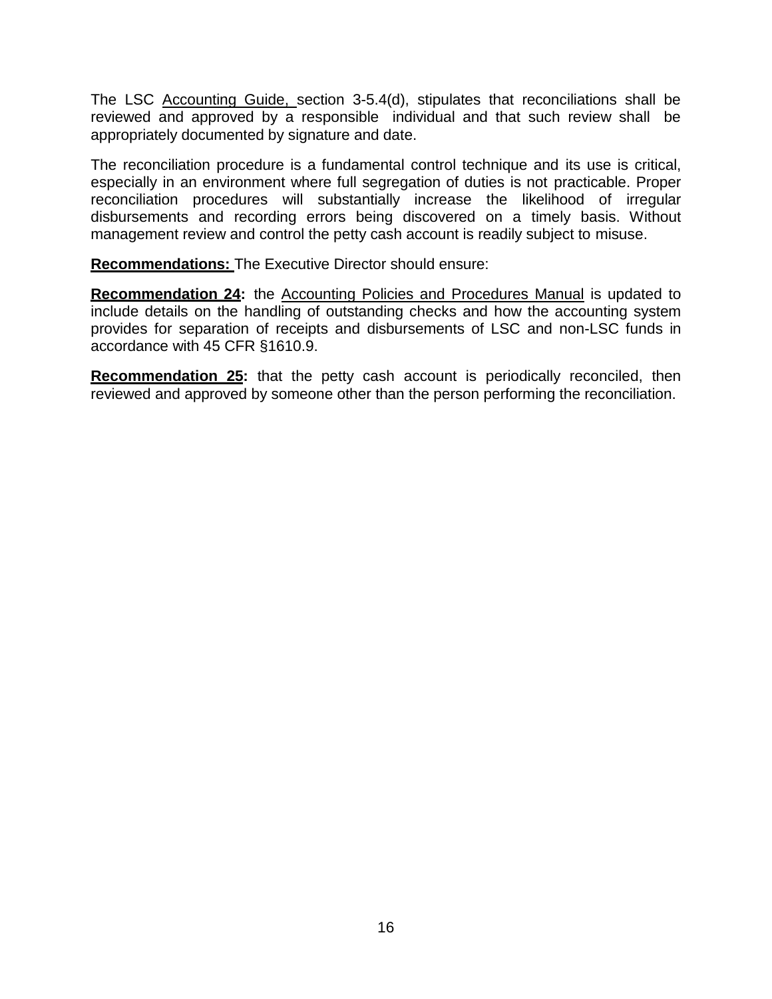The LSC Accounting Guide, section 3-5.4(d), stipulates that reconciliations shall be reviewed and approved by a responsible individual and that such review shall be appropriately documented by signature and date.

The reconciliation procedure is a fundamental control technique and its use is critical, especially in an environment where full segregation of duties is not practicable. Proper reconciliation procedures will substantially increase the likelihood of irregular disbursements and recording errors being discovered on a timely basis. Without management review and control the petty cash account is readily subject to misuse.

**Recommendations:** The Executive Director should ensure:

<span id="page-20-0"></span>**Recommendation 24:** the Accounting Policies and Procedures Manual is updated to include details on the handling of outstanding checks and how the accounting system provides for separation of receipts and disbursements of LSC and non-LSC funds in accordance with 45 CFR §1610.9.

<span id="page-20-1"></span>**Recommendation 25:** that the petty cash account is periodically reconciled, then reviewed and approved by someone other than the person performing the reconciliation.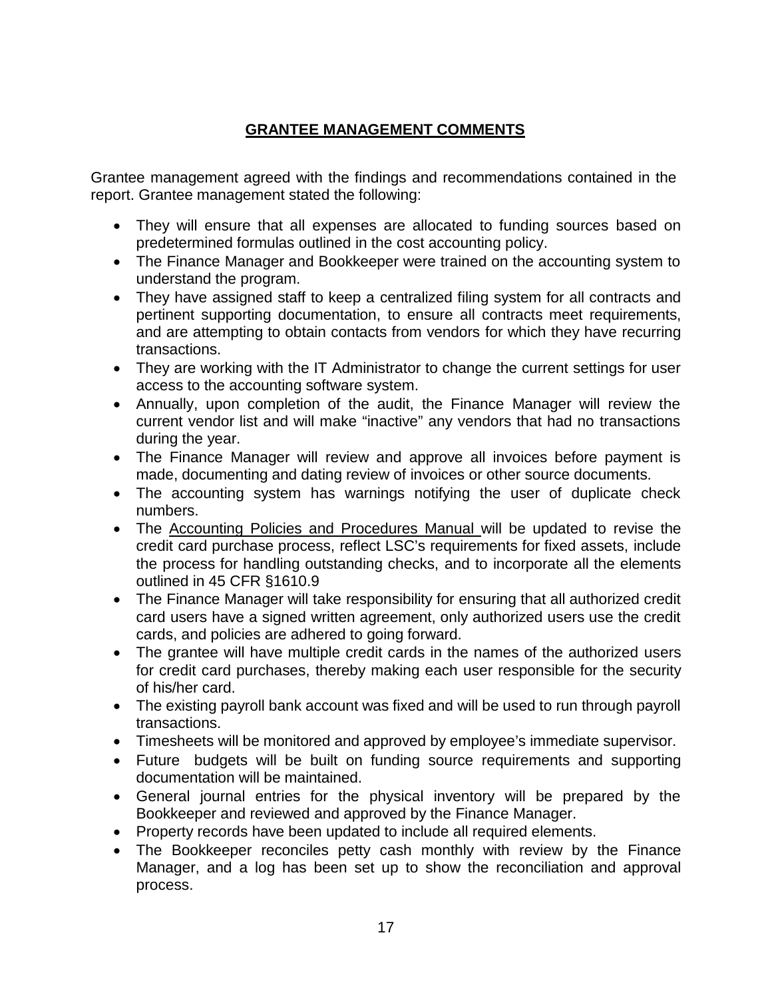## **GRANTEE MANAGEMENT COMMENTS**

<span id="page-21-0"></span>Grantee management agreed with the findings and recommendations contained in the report. Grantee management stated the following:

- They will ensure that all expenses are allocated to funding sources based on predetermined formulas outlined in the cost accounting policy.
- The Finance Manager and Bookkeeper were trained on the accounting system to understand the program.
- They have assigned staff to keep a centralized filing system for all contracts and pertinent supporting documentation, to ensure all contracts meet requirements, and are attempting to obtain contacts from vendors for which they have recurring transactions.
- They are working with the IT Administrator to change the current settings for user access to the accounting software system.
- Annually, upon completion of the audit, the Finance Manager will review the current vendor list and will make "inactive" any vendors that had no transactions during the year.
- The Finance Manager will review and approve all invoices before payment is made, documenting and dating review of invoices or other source documents.
- The accounting system has warnings notifying the user of duplicate check numbers.
- The Accounting Policies and Procedures Manual will be updated to revise the credit card purchase process, reflect LSC's requirements for fixed assets, include the process for handling outstanding checks, and to incorporate all the elements outlined in 45 CFR §1610.9
- The Finance Manager will take responsibility for ensuring that all authorized credit card users have a signed written agreement, only authorized users use the credit cards, and policies are adhered to going forward.
- The grantee will have multiple credit cards in the names of the authorized users for credit card purchases, thereby making each user responsible for the security of his/her card.
- The existing payroll bank account was fixed and will be used to run through payroll transactions.
- Timesheets will be monitored and approved by employee's immediate supervisor.
- Future budgets will be built on funding source requirements and supporting documentation will be maintained.
- General journal entries for the physical inventory will be prepared by the Bookkeeper and reviewed and approved by the Finance Manager.
- Property records have been updated to include all required elements.
- The Bookkeeper reconciles petty cash monthly with review by the Finance Manager, and a log has been set up to show the reconciliation and approval process.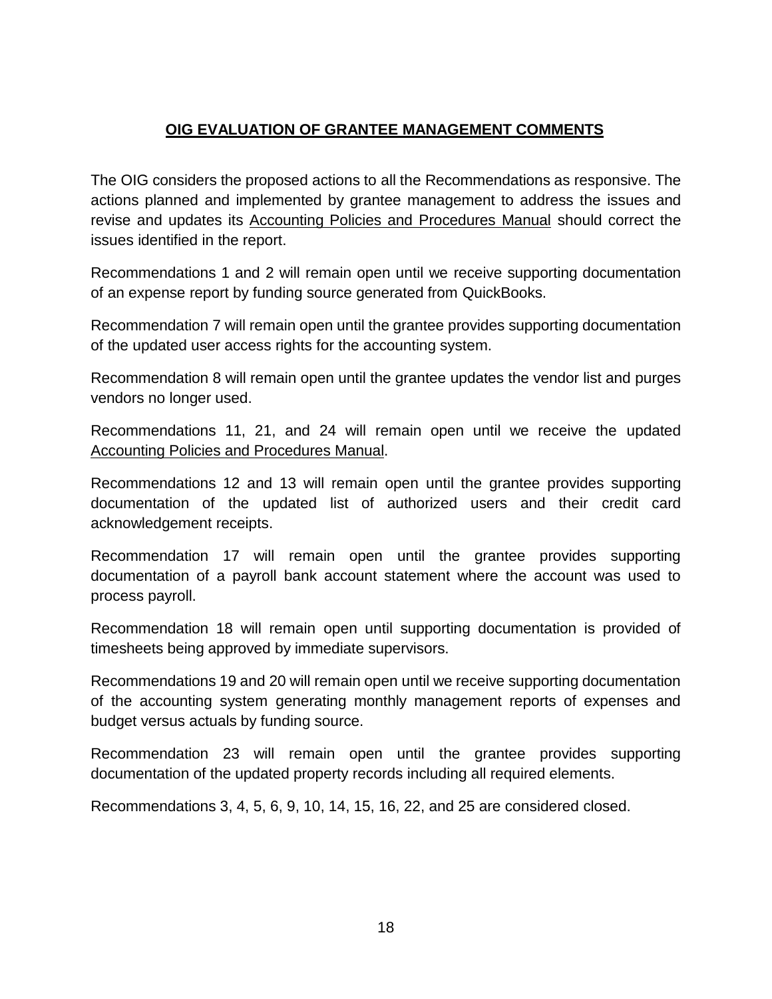## **OIG EVALUATION OF GRANTEE MANAGEMENT COMMENTS**

<span id="page-22-0"></span>The OIG considers the proposed actions to all the Recommendations as responsive. The actions planned and implemented by grantee management to address the issues and revise and updates its Accounting Policies and Procedures Manual should correct the issues identified in the report.

Recommendations 1 and 2 will remain open until we receive supporting documentation of an expense report by funding source generated from QuickBooks.

Recommendation 7 will remain open until the grantee provides supporting documentation of the updated user access rights for the accounting system.

Recommendation 8 will remain open until the grantee updates the vendor list and purges vendors no longer used.

Recommendations 11, 21, and 24 will remain open until we receive the updated Accounting Policies and Procedures Manual.

Recommendations 12 and 13 will remain open until the grantee provides supporting documentation of the updated list of authorized users and their credit card acknowledgement receipts.

Recommendation 17 will remain open until the grantee provides supporting documentation of a payroll bank account statement where the account was used to process payroll.

Recommendation 18 will remain open until supporting documentation is provided of timesheets being approved by immediate supervisors.

Recommendations 19 and 20 will remain open until we receive supporting documentation of the accounting system generating monthly management reports of expenses and budget versus actuals by funding source.

Recommendation 23 will remain open until the grantee provides supporting documentation of the updated property records including all required elements.

Recommendations 3, 4, 5, 6, 9, 10, 14, 15, 16, 22, and 25 are considered closed.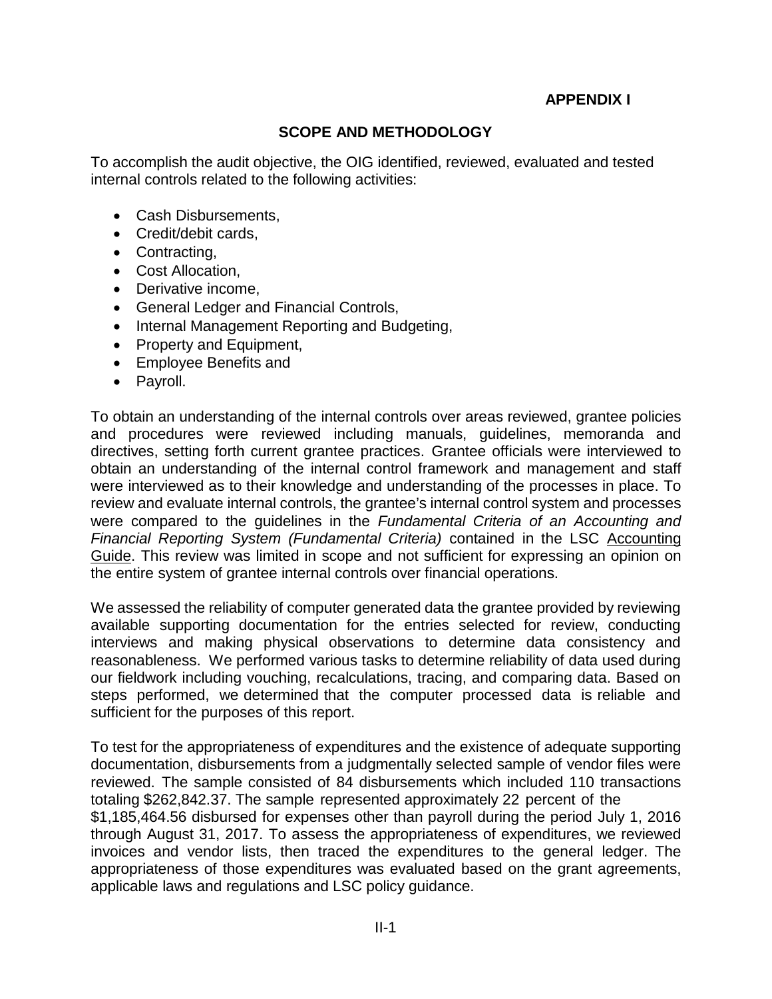## **APPENDIX I**

## **SCOPE AND METHODOLOGY**

To accomplish the audit objective, the OIG identified, reviewed, evaluated and tested internal controls related to the following activities:

- Cash Disbursements,
- Credit/debit cards,
- Contracting,
- Cost Allocation,
- Derivative income,
- General Ledger and Financial Controls,
- Internal Management Reporting and Budgeting,
- Property and Equipment,
- Employee Benefits and
- Payroll.

To obtain an understanding of the internal controls over areas reviewed, grantee policies and procedures were reviewed including manuals, guidelines, memoranda and directives, setting forth current grantee practices. Grantee officials were interviewed to obtain an understanding of the internal control framework and management and staff were interviewed as to their knowledge and understanding of the processes in place. To review and evaluate internal controls, the grantee's internal control system and processes were compared to the guidelines in the *Fundamental Criteria of an Accounting and Financial Reporting System (Fundamental Criteria)* contained in the LSC Accounting Guide. This review was limited in scope and not sufficient for expressing an opinion on the entire system of grantee internal controls over financial operations.

We assessed the reliability of computer generated data the grantee provided by reviewing available supporting documentation for the entries selected for review, conducting interviews and making physical observations to determine data consistency and reasonableness. We performed various tasks to determine reliability of data used during our fieldwork including vouching, recalculations, tracing, and comparing data. Based on steps performed, we determined that the computer processed data is reliable and sufficient for the purposes of this report.

To test for the appropriateness of expenditures and the existence of adequate supporting documentation, disbursements from a judgmentally selected sample of vendor files were reviewed. The sample consisted of 84 disbursements which included 110 transactions totaling \$262,842.37. The sample represented approximately 22 percent of the \$1,185,464.56 disbursed for expenses other than payroll during the period July 1, 2016 through August 31, 2017. To assess the appropriateness of expenditures, we reviewed invoices and vendor lists, then traced the expenditures to the general ledger. The appropriateness of those expenditures was evaluated based on the grant agreements, applicable laws and regulations and LSC policy guidance.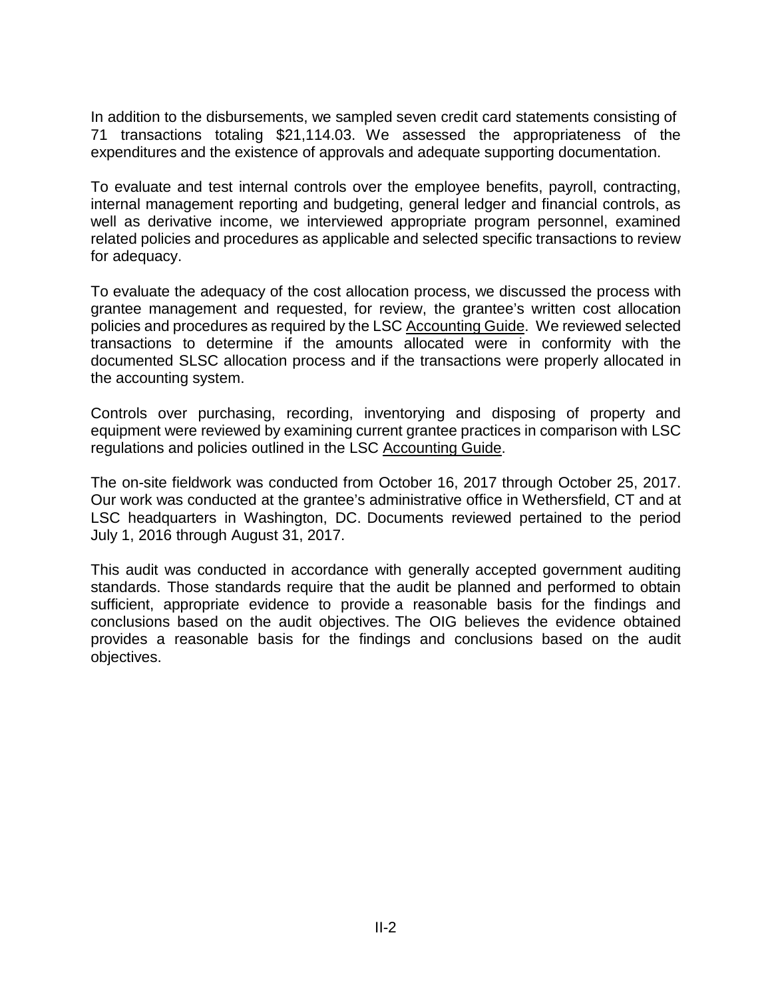In addition to the disbursements, we sampled seven credit card statements consisting of 71 transactions totaling \$21,114.03. We assessed the appropriateness of the expenditures and the existence of approvals and adequate supporting documentation.

To evaluate and test internal controls over the employee benefits, payroll, contracting, internal management reporting and budgeting, general ledger and financial controls, as well as derivative income, we interviewed appropriate program personnel, examined related policies and procedures as applicable and selected specific transactions to review for adequacy.

To evaluate the adequacy of the cost allocation process, we discussed the process with grantee management and requested, for review, the grantee's written cost allocation policies and procedures as required by the LSC Accounting Guide. We reviewed selected transactions to determine if the amounts allocated were in conformity with the documented SLSC allocation process and if the transactions were properly allocated in the accounting system.

Controls over purchasing, recording, inventorying and disposing of property and equipment were reviewed by examining current grantee practices in comparison with LSC regulations and policies outlined in the LSC Accounting Guide.

The on-site fieldwork was conducted from October 16, 2017 through October 25, 2017. Our work was conducted at the grantee's administrative office in Wethersfield, CT and at LSC headquarters in Washington, DC. Documents reviewed pertained to the period July 1, 2016 through August 31, 2017.

This audit was conducted in accordance with generally accepted government auditing standards. Those standards require that the audit be planned and performed to obtain sufficient, appropriate evidence to provide a reasonable basis for the findings and conclusions based on the audit objectives. The OIG believes the evidence obtained provides a reasonable basis for the findings and conclusions based on the audit objectives.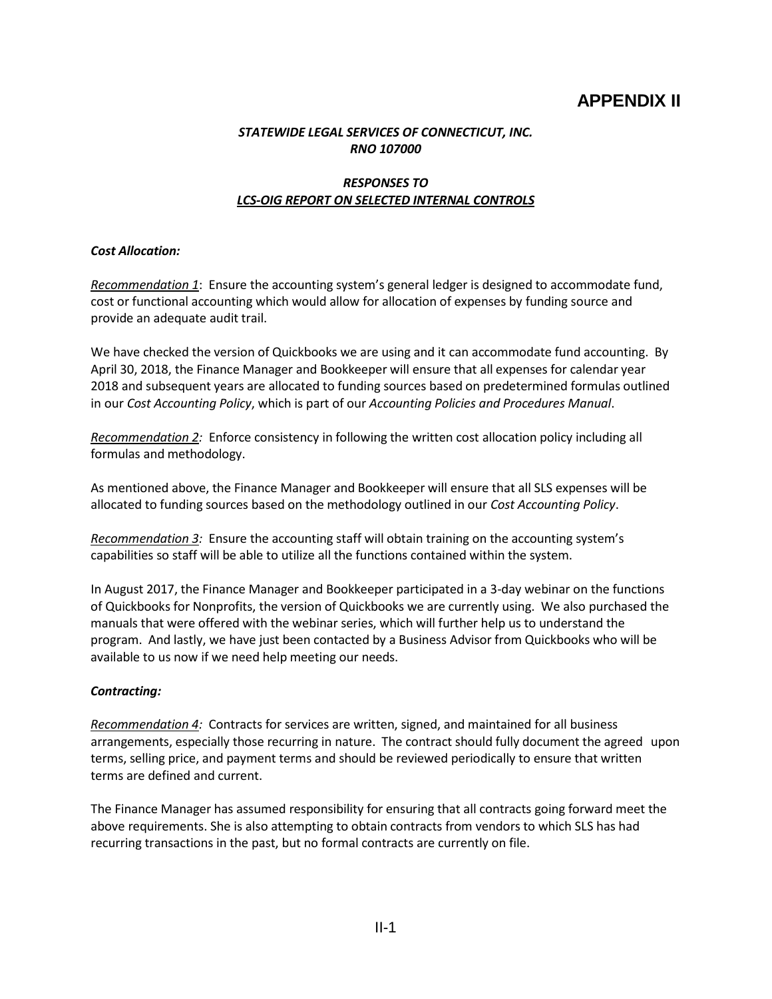## **APPENDIX II**

#### *STATEWIDE LEGAL SERVICES OF CONNECTICUT, INC. RNO 107000*

#### *RESPONSES TO LCS-OIG REPORT ON SELECTED INTERNAL CONTROLS*

#### *Cost Allocation:*

*Recommendation 1*: Ensure the accounting system's general ledger is designed to accommodate fund, cost or functional accounting which would allow for allocation of expenses by funding source and provide an adequate audit trail.

We have checked the version of Quickbooks we are using and it can accommodate fund accounting. By April 30, 2018, the Finance Manager and Bookkeeper will ensure that all expenses for calendar year 2018 and subsequent years are allocated to funding sources based on predetermined formulas outlined in our *Cost Accounting Policy*, which is part of our *Accounting Policies and Procedures Manual*.

*Recommendation 2:* Enforce consistency in following the written cost allocation policy including all formulas and methodology.

As mentioned above, the Finance Manager and Bookkeeper will ensure that all SLS expenses will be allocated to funding sources based on the methodology outlined in our *Cost Accounting Policy*.

*Recommendation 3:* Ensure the accounting staff will obtain training on the accounting system's capabilities so staff will be able to utilize all the functions contained within the system.

In August 2017, the Finance Manager and Bookkeeper participated in a 3-day webinar on the functions of Quickbooks for Nonprofits, the version of Quickbooks we are currently using. We also purchased the manuals that were offered with the webinar series, which will further help us to understand the program. And lastly, we have just been contacted by a Business Advisor from Quickbooks who will be available to us now if we need help meeting our needs.

#### *Contracting:*

*Recommendation 4:* Contracts for services are written, signed, and maintained for all business arrangements, especially those recurring in nature. The contract should fully document the agreed upon terms, selling price, and payment terms and should be reviewed periodically to ensure that written terms are defined and current.

The Finance Manager has assumed responsibility for ensuring that all contracts going forward meet the above requirements. She is also attempting to obtain contracts from vendors to which SLS has had recurring transactions in the past, but no formal contracts are currently on file.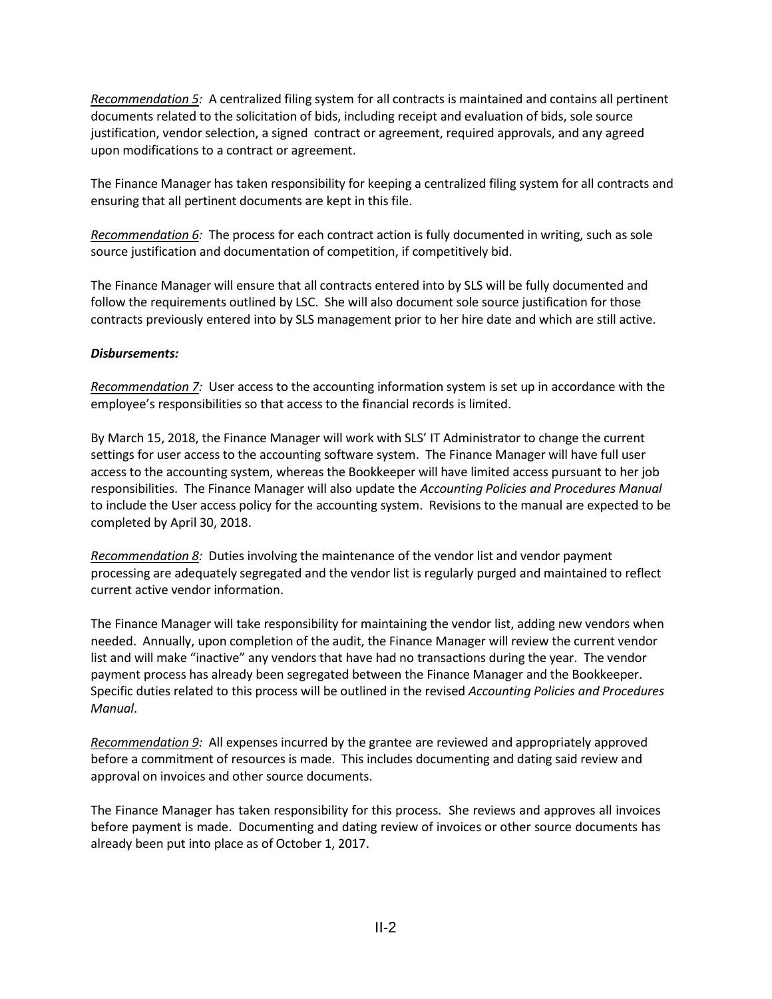*Recommendation 5:* A centralized filing system for all contracts is maintained and contains all pertinent documents related to the solicitation of bids, including receipt and evaluation of bids, sole source justification, vendor selection, a signed contract or agreement, required approvals, and any agreed upon modifications to a contract or agreement.

The Finance Manager has taken responsibility for keeping a centralized filing system for all contracts and ensuring that all pertinent documents are kept in this file.

*Recommendation 6:* The process for each contract action is fully documented in writing, such as sole source justification and documentation of competition, if competitively bid.

The Finance Manager will ensure that all contracts entered into by SLS will be fully documented and follow the requirements outlined by LSC. She will also document sole source justification for those contracts previously entered into by SLS management prior to her hire date and which are still active.

#### *Disbursements:*

*Recommendation 7:* User access to the accounting information system is set up in accordance with the employee's responsibilities so that access to the financial records is limited.

By March 15, 2018, the Finance Manager will work with SLS' IT Administrator to change the current settings for user access to the accounting software system. The Finance Manager will have full user access to the accounting system, whereas the Bookkeeper will have limited access pursuant to her job responsibilities. The Finance Manager will also update the *Accounting Policies and Procedures Manual* to include the User access policy for the accounting system. Revisions to the manual are expected to be completed by April 30, 2018.

*Recommendation 8:* Duties involving the maintenance of the vendor list and vendor payment processing are adequately segregated and the vendor list is regularly purged and maintained to reflect current active vendor information.

The Finance Manager will take responsibility for maintaining the vendor list, adding new vendors when needed. Annually, upon completion of the audit, the Finance Manager will review the current vendor list and will make "inactive" any vendors that have had no transactions during the year. The vendor payment process has already been segregated between the Finance Manager and the Bookkeeper. Specific duties related to this process will be outlined in the revised *Accounting Policies and Procedures Manual*.

*Recommendation 9:* All expenses incurred by the grantee are reviewed and appropriately approved before a commitment of resources is made. This includes documenting and dating said review and approval on invoices and other source documents.

The Finance Manager has taken responsibility for this process. She reviews and approves all invoices before payment is made. Documenting and dating review of invoices or other source documents has already been put into place as of October 1, 2017.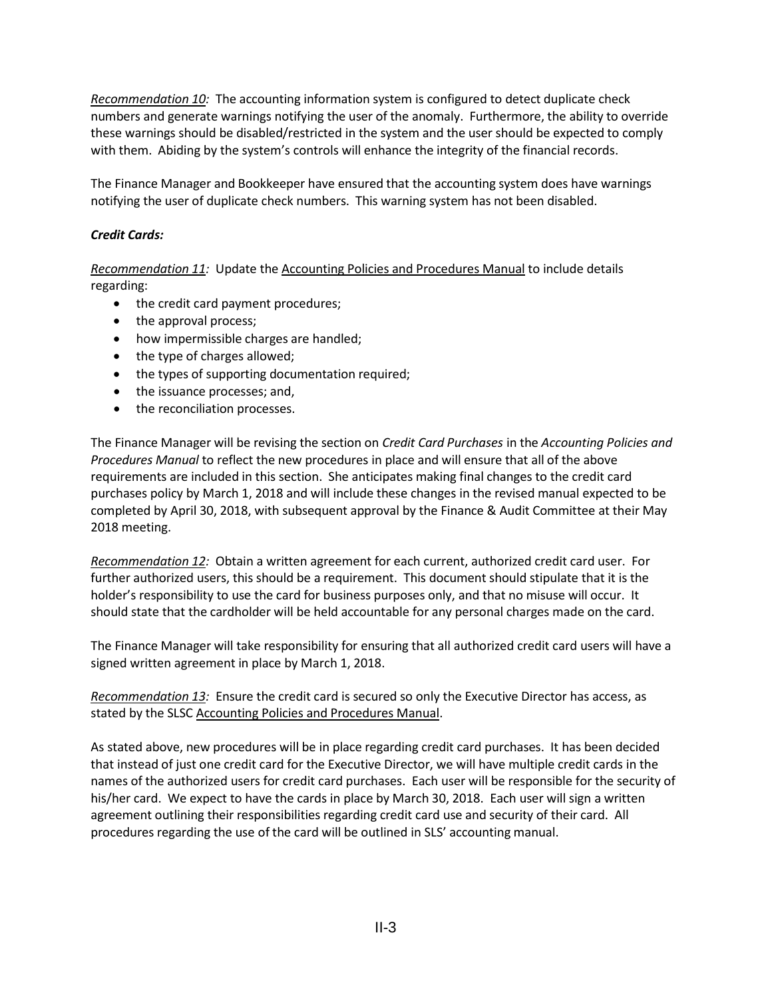*Recommendation 10:* The accounting information system is configured to detect duplicate check numbers and generate warnings notifying the user of the anomaly. Furthermore, the ability to override these warnings should be disabled/restricted in the system and the user should be expected to comply with them. Abiding by the system's controls will enhance the integrity of the financial records.

The Finance Manager and Bookkeeper have ensured that the accounting system does have warnings notifying the user of duplicate check numbers. This warning system has not been disabled.

#### *Credit Cards:*

*Recommendation 11:* Update the Accounting Policies and Procedures Manual to include details regarding:

- the credit card payment procedures;
- the approval process;
- how impermissible charges are handled;
- the type of charges allowed;
- the types of supporting documentation required;
- the issuance processes; and,
- the reconciliation processes.

The Finance Manager will be revising the section on *Credit Card Purchases* in the *Accounting Policies and Procedures Manual* to reflect the new procedures in place and will ensure that all of the above requirements are included in this section. She anticipates making final changes to the credit card purchases policy by March 1, 2018 and will include these changes in the revised manual expected to be completed by April 30, 2018, with subsequent approval by the Finance & Audit Committee at their May 2018 meeting.

*Recommendation 12:* Obtain a written agreement for each current, authorized credit card user. For further authorized users, this should be a requirement. This document should stipulate that it is the holder's responsibility to use the card for business purposes only, and that no misuse will occur. It should state that the cardholder will be held accountable for any personal charges made on the card.

The Finance Manager will take responsibility for ensuring that all authorized credit card users will have a signed written agreement in place by March 1, 2018.

*Recommendation 13:* Ensure the credit card is secured so only the Executive Director has access, as stated by the SLSC Accounting Policies and Procedures Manual.

As stated above, new procedures will be in place regarding credit card purchases. It has been decided that instead of just one credit card for the Executive Director, we will have multiple credit cards in the names of the authorized users for credit card purchases. Each user will be responsible for the security of his/her card. We expect to have the cards in place by March 30, 2018. Each user will sign a written agreement outlining their responsibilities regarding credit card use and security of their card. All procedures regarding the use of the card will be outlined in SLS' accounting manual.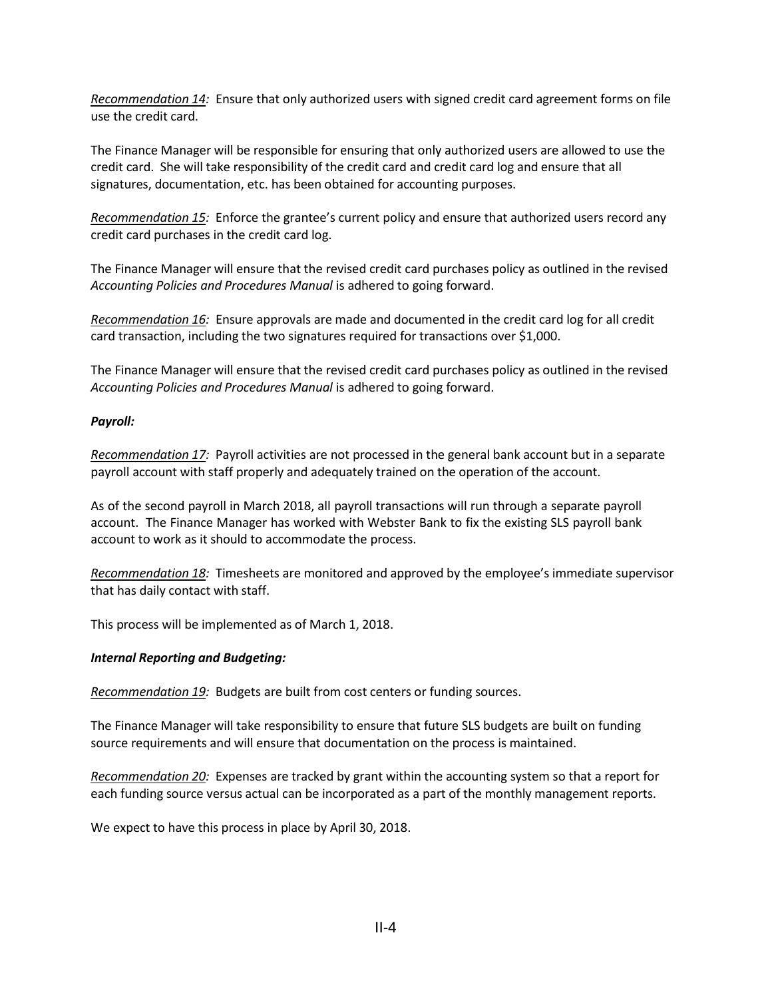*Recommendation 14:* Ensure that only authorized users with signed credit card agreement forms on file use the credit card.

The Finance Manager will be responsible for ensuring that only authorized users are allowed to use the credit card. She will take responsibility of the credit card and credit card log and ensure that all signatures, documentation, etc. has been obtained for accounting purposes.

*Recommendation 15:* Enforce the grantee's current policy and ensure that authorized users record any credit card purchases in the credit card log.

The Finance Manager will ensure that the revised credit card purchases policy as outlined in the revised *Accounting Policies and Procedures Manual* is adhered to going forward.

*Recommendation 16:* Ensure approvals are made and documented in the credit card log for all credit card transaction, including the two signatures required for transactions over \$1,000.

The Finance Manager will ensure that the revised credit card purchases policy as outlined in the revised *Accounting Policies and Procedures Manual* is adhered to going forward.

#### *Payroll:*

*Recommendation 17:* Payroll activities are not processed in the general bank account but in a separate payroll account with staff properly and adequately trained on the operation of the account.

As of the second payroll in March 2018, all payroll transactions will run through a separate payroll account. The Finance Manager has worked with Webster Bank to fix the existing SLS payroll bank account to work as it should to accommodate the process.

*Recommendation 18:* Timesheets are monitored and approved by the employee's immediate supervisor that has daily contact with staff.

This process will be implemented as of March 1, 2018.

#### *Internal Reporting and Budgeting:*

*Recommendation 19:* Budgets are built from cost centers or funding sources.

The Finance Manager will take responsibility to ensure that future SLS budgets are built on funding source requirements and will ensure that documentation on the process is maintained.

*Recommendation 20:* Expenses are tracked by grant within the accounting system so that a report for each funding source versus actual can be incorporated as a part of the monthly management reports.

We expect to have this process in place by April 30, 2018.